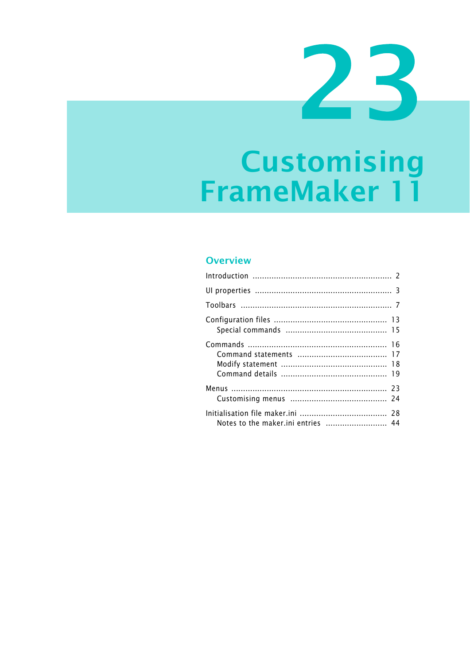# **Customising** FrameMaker 11

### Overview

| Notes to the maker.ini entries  44 |  |
|------------------------------------|--|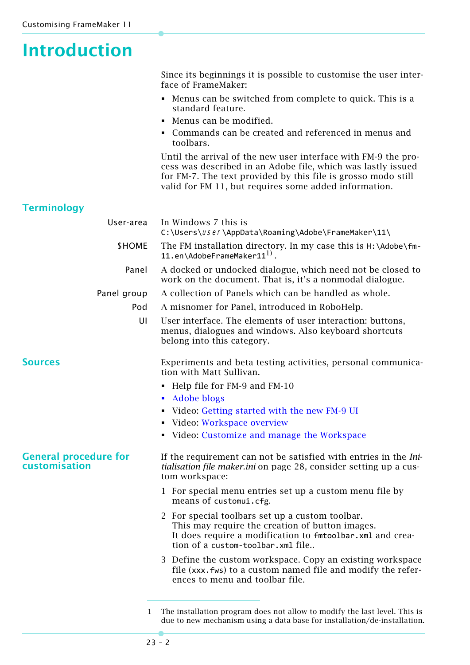# <span id="page-1-0"></span>**Introduction**

Since its beginnings it is possible to customise the user interface of FrameMaker:

- Menus can be switched from complete to quick. This is a standard feature.
- Menus can be modified.
- Commands can be created and referenced in menus and toolbars.

Until the arrival of the new user interface with FM-9 the process was described in an Adobe file, which was lastly issued for FM-7. The text provided by this file is grosso modo still valid for FM 11, but requires some added information.

### **Terminology**

| User-area                                            | In Windows 7 this is<br>C:\Users\user\AppData\Roaming\Adobe\FrameMaker\11\                                                                                                                           |
|------------------------------------------------------|------------------------------------------------------------------------------------------------------------------------------------------------------------------------------------------------------|
| \$HOME                                               | The FM installation directory. In my case this is H:\Adobe\fm-<br>11.en\AdobeFrameMaker11 $^{1)}$ .                                                                                                  |
| Panel                                                | A docked or undocked dialogue, which need not be closed to<br>work on the document. That is, it's a nonmodal dialogue.                                                                               |
| Panel group                                          | A collection of Panels which can be handled as whole.                                                                                                                                                |
| Pod                                                  | A misnomer for Panel, introduced in RoboHelp.                                                                                                                                                        |
| UI                                                   | User interface. The elements of user interaction: buttons,<br>menus, dialogues and windows. Also keyboard shortcuts<br>belong into this category.                                                    |
| <b>Sources</b>                                       | Experiments and beta testing activities, personal communica-<br>tion with Matt Sullivan.                                                                                                             |
|                                                      | • Help file for FM-9 and FM-10                                                                                                                                                                       |
|                                                      | <b>Adobe blogs</b>                                                                                                                                                                                   |
|                                                      | • Video: Getting started with the new FM-9 UI                                                                                                                                                        |
|                                                      | • Video: Workspace overview                                                                                                                                                                          |
|                                                      | • Video: Customize and manage the Workspace                                                                                                                                                          |
| <b>General procedure for</b><br><b>customisation</b> | If the requirement can not be satisfied with entries in the Ini-<br>tialisation file maker.ini on page 28, consider setting up a cus-<br>tom workspace:                                              |
|                                                      | 1 For special menu entries set up a custom menu file by<br>means of customui.cfg.                                                                                                                    |
|                                                      | 2 For special toolbars set up a custom toolbar.<br>This may require the creation of button images.<br>It does require a modification to fmtoolbar.xml and crea-<br>tion of a custom-toolbar.xml file |
|                                                      | 3 Define the custom workspace. Copy an existing workspace<br>file (xxx.fws) to a custom named file and modify the refer-<br>ences to menu and toolbar file.                                          |
|                                                      |                                                                                                                                                                                                      |

<sup>1</sup> The installation program does not allow to modify the last level. This is due to new mechanism using a data base for installation/de-installation.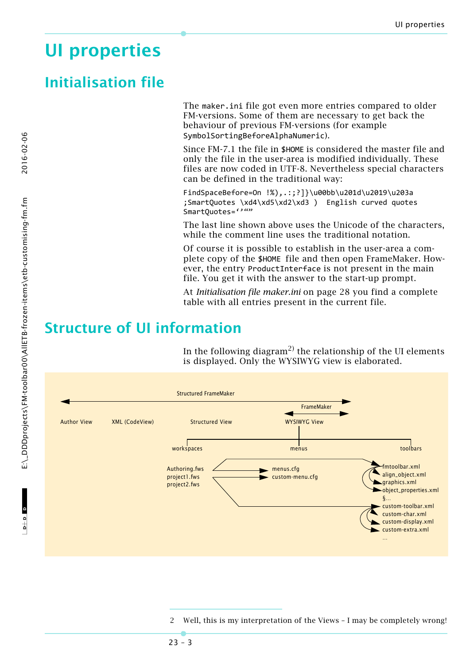# <span id="page-2-0"></span>**UI properties**

### **Initialisation file**

The maker.ini file got even more entries compared to older FM-versions. Some of them are necessary to get back the behaviour of previous FM-versions (for example SymbolSortingBeforeAlphaNumeric).

Since FM-7.1 the file in \$HOME is considered the master file and only the file in the user-area is modified individually. These files are now coded in UTF-8. Nevertheless special characters can be defined in the traditional way:

FindSpaceBefore=On !%),.:;?]}\u00bb\u201d\u2019\u203a ;SmartQuotes \xd4\xd5\xd2\xd3 ) English curved quotes SmartQuotes="""

The last line shown above uses the Unicode of the characters, while the comment line uses the traditional notation.

Of course it is possible to establish in the user-area a complete copy of the \$HOME file and then open FrameMaker. However, the entry ProductInterface is not present in the main file. You get it with the answer to the start-up prompt.

At *[Initialisation file maker.ini](#page-27-0)* on page 28 you find a complete table with all entries present in the current file.

## **Structure of UI information**

In the following diagram<sup>2)</sup> the relationship of the UI elements is displayed. Only the WYSIWYG view is elaborated.



 $-10$ 

Well, this is my interpretation of the Views - I may be completely wrong!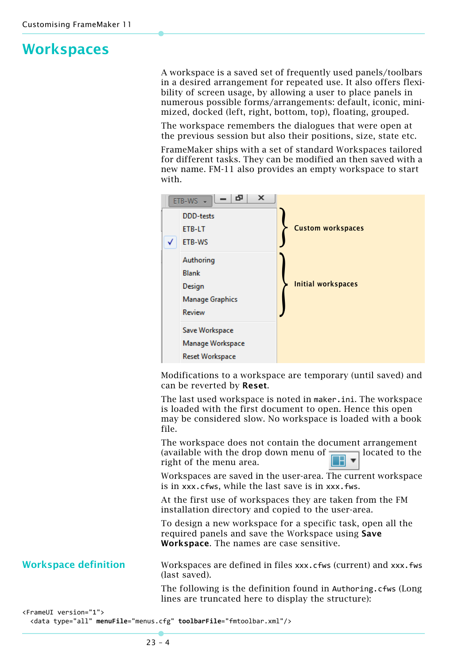## **Workspaces**

A workspace is a saved set of frequently used panels/toolbars in a desired arrangement for repeated use. It also offers flexibility of screen usage, by allowing a user to place panels in numerous possible forms/arrangements: default, iconic, minimized, docked (left, right, bottom, top), floating, grouped.

The workspace remembers the dialogues that were open at the previous session but also their positions, size, state etc.

FrameMaker ships with a set of standard Workspaces tailored for different tasks. They can be modified an then saved with a new name. FM-11 also provides an empty workspace to start with.



Modifications to a workspace are temporary (until saved) and can be reverted by **Reset**.

The last used workspace is noted in maker.ini. The workspace is loaded with the first document to open. Hence this open may be considered slow. No workspace is loaded with a book file.

The workspace does not contain the document arrangement (available with the drop down menu of  $\Box$  located to the right of the menu area.

Workspaces are saved in the user-area. The current workspace is in xxx.cfws, while the last save is in xxx.fws.

At the first use of workspaces they are taken from the FM installation directory and copied to the user-area.

To design a new workspace for a specific task, open all the required panels and save the Workspace using **Save Workspace**. The names are case sensitive.

**Workspace definition** Workspaces are defined in files xxx.cfws (current) and xxx.fws (last saved).

> The following is the definition found in Authoring.cfws (Long lines are truncated here to display the structure):

```
<FrameUI version="1">
    <data type="all" menuFile="menus.cfg" toolbarFile="fmtoolbar.xml"/>
```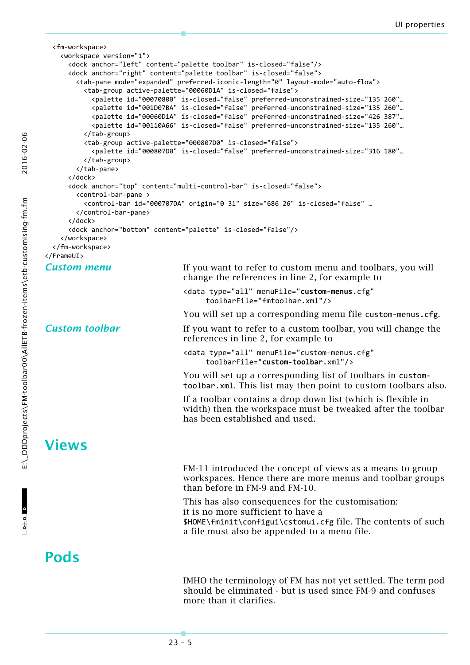```
  <fm‐workspace>
        <workspace version="1">
            <dock anchor="left" content="palette toolbar" is‐closed="false"/>
            <dock anchor="right" content="palette toolbar" is‐closed="false">
                <tab‐pane mode="expanded" preferred‐iconic‐length="0" layout‐mode="auto‐flow">
                    <tab‐group active‐palette="00060D1A" is‐closed="false">
                        <palette id="00070800" is‐closed="false" preferred‐unconstrained‐size="135 260"…
                        <palette id="001D07BA" is‐closed="false" preferred‐unconstrained‐size="135 260"…
                        <palette id="00060D1A" is‐closed="false" preferred‐unconstrained‐size="426 387"…
                        <palette id="00110A66" is‐closed="false" preferred‐unconstrained‐size="135 260"…
                    </tab‐group>
                    <tab‐group active‐palette="000807D0" is‐closed="false">
                        <palette id="000807D0" is‐closed="false" preferred‐unconstrained‐size="316 180"…
                    </tab‐group>
                </tab‐pane>
            </dock>
            <dock anchor="top" content="multi‐control‐bar" is‐closed="false">
                <control‐bar‐pane >
                    <control‐bar id="000707DA" origin="0 31" size="686 26" is‐closed="false" …
                </control‐bar‐pane>
            </dock>
            <dock anchor="bottom" content="palette" is‐closed="false"/>
        </workspace>
    </fm‐workspace>
</FrameUI>
Custom menu If you want to refer to custom menu and toolbars, you will
                                    change the references in line 2, for example to
                                    <data type="all" menuFile="custom‐menus.cfg"
                                          toolbarFile="fmtoolbar.xml"/>
                                    You will set up a corresponding menu file custom-menus.cfg.
Custom toolbar If you want to refer to a custom toolbar, you will change the
                                    references in line 2, for example to
                                    <data type="all" menuFile="custom‐menus.cfg"
                                          toolbarFile="custom‐toolbar.xml"/>
                                    You will set up a corresponding list of toolbars in custom‐
                                    toolbar.xml. This list may then point to custom toolbars also.
                                    If a toolbar contains a drop down list (which is flexible in 
                                    width) then the workspace must be tweaked after the toolbar 
                                    has been established and used.
Views
                                    FM-11 introduced the concept of views as a means to group 
                                    workspaces. Hence there are more menus and toolbar groups 
                                    than before in FM-9 and FM-10.
                                    This has also consequences for the customisation:
                                    it is no more sufficient to have a 
                                    $HOME\fminit\configui\cstomui.cfg file. The contents of such 
                                    a file must also be appended to a menu file.
Pods
                                    IMHO the terminology of FM has not yet settled. The term pod
```
should be eliminated - but is used since FM-9 and confuses

23 – 5

more than it clarifies.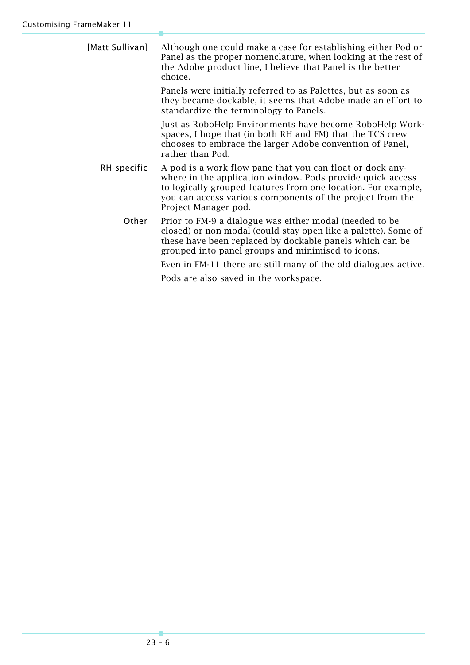| [Matt Sullivan] | Although one could make a case for establishing either Pod or<br>Panel as the proper nomenclature, when looking at the rest of<br>the Adobe product line, I believe that Panel is the better<br>choice.                                                                       |
|-----------------|-------------------------------------------------------------------------------------------------------------------------------------------------------------------------------------------------------------------------------------------------------------------------------|
|                 | Panels were initially referred to as Palettes, but as soon as<br>they became dockable, it seems that Adobe made an effort to<br>standardize the terminology to Panels.                                                                                                        |
|                 | Just as RoboHelp Environments have become RoboHelp Work-<br>spaces, I hope that (in both RH and FM) that the TCS crew<br>chooses to embrace the larger Adobe convention of Panel,<br>rather than Pod.                                                                         |
| RH-specific     | A pod is a work flow pane that you can float or dock any-<br>where in the application window. Pods provide quick access<br>to logically grouped features from one location. For example,<br>you can access various components of the project from the<br>Project Manager pod. |
| Other           | Prior to FM-9 a dialogue was either modal (needed to be<br>closed) or non modal (could stay open like a palette). Some of<br>these have been replaced by dockable panels which can be<br>grouped into panel groups and minimised to icons.                                    |
|                 | Even in FM-11 there are still many of the old dialogues active.                                                                                                                                                                                                               |

Pods are also saved in the workspace.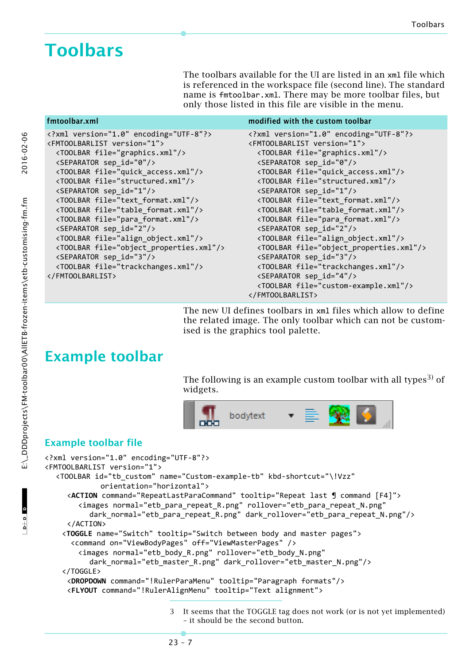# <span id="page-6-0"></span>**Toolbars**

The toolbars available for the UI are listed in an xml file which is referenced in the workspace file (second line). The standard name is fmtoolbar.xml. There may be more toolbar files, but only those listed in this file are visible in the menu.

#### fmtoolbar.xml modified with the custom toolbar

| xml version="1.0" encoding="UTF-8"?              | xml version="1.0" encoding="UTF-8"?              |
|--------------------------------------------------|--------------------------------------------------|
| <fmtoolbarlist version="1"></fmtoolbarlist>      | <fmtoolbarlist version="1"></fmtoolbarlist>      |
| <toolbar file="graphics.xml"></toolbar>          | <toolbar file="graphics.xml"></toolbar>          |
| <separator id="0" sep=""></separator>            | <separator id="0" sep=""></separator>            |
| <toolbar file="quick_access.xml"></toolbar>      | <toolbar file="quick_access.xml"></toolbar>      |
| <toolbar file="structured.xml"></toolbar>        | <toolbar file="structured.xml"></toolbar>        |
| <separator sep_id="1"></separator>               | <separator sep_id="1"></separator>               |
| <toolbar file="text format.xml"></toolbar>       | <toolbar file="text format.xml"></toolbar>       |
| <toolbar file="table format.xml"></toolbar>      | <toolbar file="table format.xml"></toolbar>      |
| <toolbar file="para_format.xml"></toolbar>       | <toolbar file="para_format.xml"></toolbar>       |
| <separator sep_id="2"></separator>               | <separator sep_id="2"></separator>               |
| <toolbar file="align_object.xml"></toolbar>      | <toolbar file="align_object.xml"></toolbar>      |
| <toolbar file="object_properties.xml"></toolbar> | <toolbar file="object_properties.xml"></toolbar> |
| <separator id="3" sep=""></separator>            | <separator id="3" sep=""></separator>            |
| <toolbar file="trackchanges.xml"></toolbar>      | <toolbar file="trackchanges.xml"></toolbar>      |
|                                                  | <separator sep_id="4"></separator>               |
|                                                  | <toolbar file="custom-example.xml"></toolbar>    |
|                                                  |                                                  |

The new UI defines toolbars in xml files which allow to define the related image. The only toolbar which can not be customised is the graphics tool palette.

## **Example toolbar**

The following is an example custom toolbar with all types<sup>3)</sup> of widgets.



### **Example toolbar file**

```
<?xml version="1.0" encoding="UTF‐8"?>
<FMTOOLBARLIST version="1">
  <TOOLBAR id="tb_custom" name="Custom‐example‐tb" kbd‐shortcut="\!Vzz"
             orientation="horizontal">
     <ACTION command="RepeatLastParaCommand" tooltip="Repeat last ¶ command [F4]">
        <images normal="etb_para_repeat_R.png" rollover="etb_para_repeat_N.png"
          dark_normal="etb_para_repeat_R.png" dark_rollover="etb_para_repeat_N.png"/>
     </ACTION>
        <TOGGLE name="Switch" tooltip="Switch between body and master pages">
            <command on="ViewBodyPages" off="ViewMasterPages" />
        <images normal="etb_body_R.png" rollover="etb_body_N.png"
          dark_normal="etb_master_R.png" dark_rollover="etb_master_N.png"/>
        </TOGGLE>
     <DROPDOWN command="!RulerParaMenu" tooltip="Paragraph formats"/>
     <FLYOUT command="!RulerAlignMenu" tooltip="Text alignment">
```
3 It seems that the TOGGLE tag does not work (or is not yet implemented) – it should be the second button.

 $-1$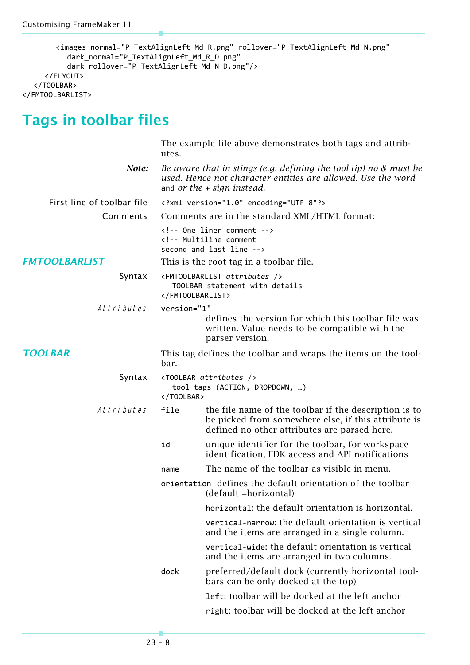```
<images normal="P_TextAlignLeft_Md_R.png" rollover="P_TextAlignLeft_Md_N.png"
          dark_normal="P_TextAlignLeft_Md_R_D.png"
          dark_rollover="P_TextAlignLeft_Md_N_D.png"/>
     </FLYOUT>
  </TOOLBAR>
</FMTOOLBARLIST>
```
# **Tags in toolbar files**

|                            | The example file above demonstrates both tags and attrib-<br>utes.                                                                                                  |                                                                                                                                                              |  |
|----------------------------|---------------------------------------------------------------------------------------------------------------------------------------------------------------------|--------------------------------------------------------------------------------------------------------------------------------------------------------------|--|
| Note:                      | Be aware that in stings (e.g. defining the tool tip) no $&$ must be<br>used. Hence not character entities are allowed. Use the word<br>and or the $+$ sign instead. |                                                                                                                                                              |  |
| First line of toolbar file | xml version="1.0" encoding="UTF-8"?                                                                                                                                 |                                                                                                                                                              |  |
| Comments                   |                                                                                                                                                                     | Comments are in the standard XML/HTML format:                                                                                                                |  |
|                            | One liner comment<br>Multiline comment<br>second and last line                                                                                                      |                                                                                                                                                              |  |
| <b>FMTOOLBARLIST</b>       |                                                                                                                                                                     | This is the root tag in a toolbar file.                                                                                                                      |  |
| Syntax                     | <fmtoolbarlist attributes=""></fmtoolbarlist><br>TOOLBAR statement with details<br>                                                                                 |                                                                                                                                                              |  |
| Attributes                 | version="1"                                                                                                                                                         |                                                                                                                                                              |  |
|                            |                                                                                                                                                                     | defines the version for which this toolbar file was<br>written. Value needs to be compatible with the<br>parser version.                                     |  |
| <b>TOOLBAR</b>             | bar.                                                                                                                                                                | This tag defines the toolbar and wraps the items on the tool-                                                                                                |  |
| Syntax                     |                                                                                                                                                                     | <toolbar attributes=""></toolbar><br>tool tags (ACTION, DROPDOWN, )                                                                                          |  |
| Attributes                 | file                                                                                                                                                                | the file name of the toolbar if the description is to<br>be picked from somewhere else, if this attribute is<br>defined no other attributes are parsed here. |  |
|                            | id                                                                                                                                                                  | unique identifier for the toolbar, for workspace<br>identification, FDK access and API notifications                                                         |  |
|                            | name                                                                                                                                                                | The name of the toolbar as visible in menu.                                                                                                                  |  |
|                            |                                                                                                                                                                     | orientation defines the default orientation of the toolbar<br>(default =horizontal)                                                                          |  |
|                            |                                                                                                                                                                     | horizontal: the default orientation is horizontal.                                                                                                           |  |
|                            |                                                                                                                                                                     | vertical-narrow: the default orientation is vertical<br>and the items are arranged in a single column.                                                       |  |
|                            |                                                                                                                                                                     | vertical-wide: the default orientation is vertical<br>and the items are arranged in two columns.                                                             |  |
|                            | dock                                                                                                                                                                | preferred/default dock (currently horizontal tool-<br>bars can be only docked at the top)                                                                    |  |
|                            |                                                                                                                                                                     | left: toolbar will be docked at the left anchor                                                                                                              |  |
|                            |                                                                                                                                                                     | right: toolbar will be docked at the left anchor                                                                                                             |  |
|                            |                                                                                                                                                                     |                                                                                                                                                              |  |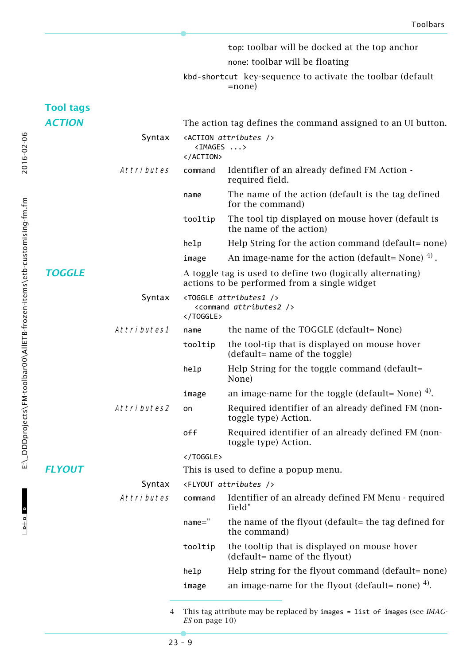|                  |             |                        | top: toolbar will be docked at the top anchor                                                              |
|------------------|-------------|------------------------|------------------------------------------------------------------------------------------------------------|
|                  |             |                        | none: toolbar will be floating                                                                             |
|                  |             |                        | kbd-shortcut key-sequence to activate the toolbar (default<br>=none)                                       |
| <b>Tool tags</b> |             |                        |                                                                                                            |
| <b>ACTION</b>    |             |                        | The action tag defines the command assigned to an UI button.                                               |
|                  | Syntax      | $\langle$ IMAGES ><br> | <action attributes=""></action>                                                                            |
|                  | Attributes  | command                | Identifier of an already defined FM Action -<br>required field.                                            |
|                  |             | name                   | The name of the action (default is the tag defined<br>for the command)                                     |
|                  |             | tooltip                | The tool tip displayed on mouse hover (default is<br>the name of the action)                               |
|                  |             | help                   | Help String for the action command (default= none)                                                         |
|                  |             | image                  | An image-name for the action (default= None) $^{4)}$ .                                                     |
| <b>TOGGLE</b>    |             |                        | A toggle tag is used to define two (logically alternating)<br>actions to be performed from a single widget |
|                  | Syntax      | $\langle$ /TOGGLE>     | <toggle attributes1=""></toggle><br><command attributes2=""/>                                              |
|                  | Attributes1 | name                   | the name of the TOGGLE (default= None)                                                                     |
|                  |             | tooltip                | the tool-tip that is displayed on mouse hover<br>(default= name of the toggle)                             |
|                  |             | help                   | Help String for the toggle command (default=<br>None)                                                      |
|                  |             | image                  | an image-name for the toggle (default= None) $4$ ).                                                        |
|                  | Attributes2 | on                     | Required identifier of an already defined FM (non-<br>toggle type) Action.                                 |
|                  |             | off                    | Required identifier of an already defined FM (non-<br>toggle type) Action.                                 |
|                  |             |                        |                                                                                                            |
| <b>FLYOUT</b>    |             |                        | This is used to define a popup menu.                                                                       |
|                  | Syntax      |                        | <flyout attributes=""></flyout>                                                                            |
|                  | Attributes  | command                | Identifier of an already defined FM Menu - required<br>field"                                              |
|                  |             | $name="$               | the name of the flyout (default= the tag defined for<br>the command)                                       |
|                  |             | tooltip                | the tooltip that is displayed on mouse hover<br>(default= name of the flyout)                              |
|                  |             | help                   | Help string for the flyout command (default= none)                                                         |
|                  |             | image                  | an image-name for the flyout (default= none) $4$ ).                                                        |
|                  |             |                        | attyikuta maarika wanloogo kristu                                                                          |

<span id="page-8-0"></span><sup>4</sup> This tag attribute may be replaced by images = list of images (see *[IMAG-](#page-9-0)ES* [on page 10](#page-9-0))

2016-02-06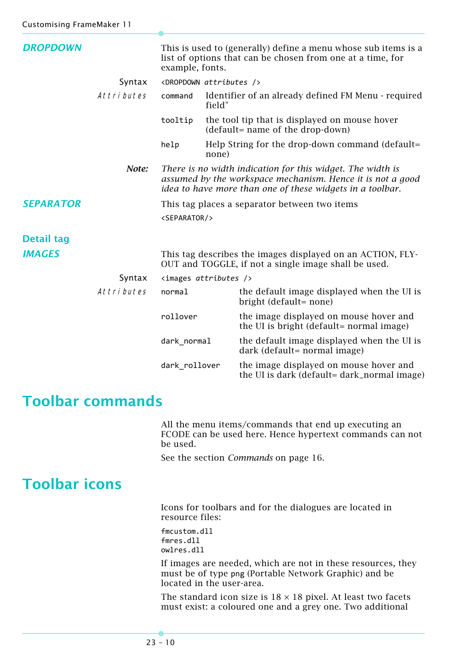| <b>DROPDOWN</b>   |            | This is used to (generally) define a menu whose sub items is a<br>list of options that can be chosen from one at a time, for<br>example, fonts. |                                     |                                                                                                                                                                                       |
|-------------------|------------|-------------------------------------------------------------------------------------------------------------------------------------------------|-------------------------------------|---------------------------------------------------------------------------------------------------------------------------------------------------------------------------------------|
|                   | Syntax     |                                                                                                                                                 | <dropdown attributes=""></dropdown> |                                                                                                                                                                                       |
|                   | Attributes | command                                                                                                                                         | field"                              | Identifier of an already defined FM Menu - required                                                                                                                                   |
|                   |            | tooltip                                                                                                                                         |                                     | the tool tip that is displayed on mouse hover<br>(default= name of the drop-down)                                                                                                     |
|                   |            | help                                                                                                                                            | none)                               | Help String for the drop-down command (default=                                                                                                                                       |
|                   | Note:      |                                                                                                                                                 |                                     | There is no width indication for this widget. The width is<br>assumed by the workspace mechanism. Hence it is not a good<br>idea to have more than one of these widgets in a toolbar. |
| <b>SEPARATOR</b>  |            |                                                                                                                                                 |                                     | This tag places a separator between two items                                                                                                                                         |
|                   |            | <separator></separator>                                                                                                                         |                                     |                                                                                                                                                                                       |
|                   |            |                                                                                                                                                 |                                     |                                                                                                                                                                                       |
| <b>Detail tag</b> |            |                                                                                                                                                 |                                     |                                                                                                                                                                                       |
| <b>IMAGES</b>     |            |                                                                                                                                                 |                                     | This tag describes the images displayed on an ACTION, FLY-<br>OUT and TOGGLE, if not a single image shall be used.                                                                    |
|                   | Syntax     |                                                                                                                                                 | $\langle$ images attributes />      |                                                                                                                                                                                       |
|                   | Attributes | normal                                                                                                                                          |                                     | the default image displayed when the UI is<br>bright (default= none)                                                                                                                  |
|                   |            | rollover                                                                                                                                        |                                     | the image displayed on mouse hover and<br>the UI is bright (default= normal image)                                                                                                    |
|                   |            | dark_normal                                                                                                                                     |                                     | the default image displayed when the UI is<br>dark (default= normal image)                                                                                                            |
|                   |            | dark_rollover                                                                                                                                   |                                     | the image displayed on mouse hover and<br>the UI is dark (default= dark_normal image)                                                                                                 |

### <span id="page-9-0"></span>**Toolbar commands**

All the menu items/commands that end up executing an FCODE can be used here. Hence hypertext commands can not be used.

See the section *Commands* [on page 16](#page-15-0).

## **Toolbar icons**

Icons for toolbars and for the dialogues are located in resource files:

fmcustom.dll fmres.dll owlres.dll

If images are needed, which are not in these resources, they must be of type png (Portable Network Graphic) and be located in the user-area.

The standard icon size is  $18 \times 18$  pixel. At least two facets must exist: a coloured one and a grey one. Two additional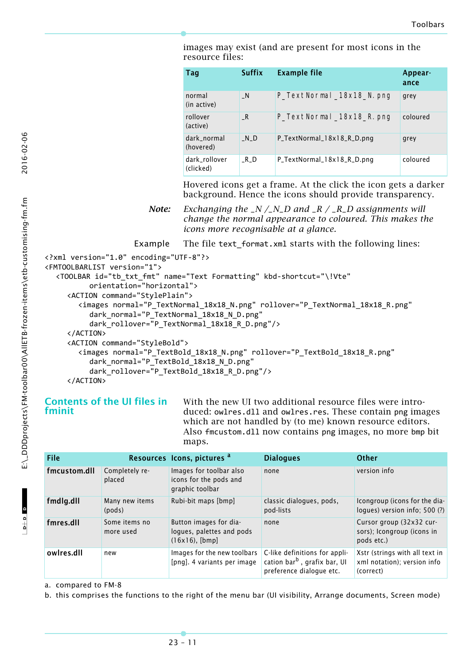images may exist (and are present for most icons in the resource files:

| Tag                        | <b>Suffix</b> | <b>Example file</b>        | Appear-<br>ance |
|----------------------------|---------------|----------------------------|-----------------|
| normal<br>(in active)      | $\mathsf{N}$  | P_TextNormal_18x18_N.png   | grey            |
| rollover<br>(active)       | $\_R$         | P_TextNormal_18x18_R.png   | coloured        |
| dark_normal<br>(hovered)   | $N_D$         | P_TextNormal_18x18_R_D.png | grey            |
| dark_rollover<br>(clicked) | $R\_D$        | P_TextNormal_18x18_R_D.png | coloured        |

Hovered icons get a frame. At the click the icon gets a darker background. Hence the icons should provide transparency.

*Note: Exchanging the \_N /\_N\_D and \_R / \_R\_D assignments will change the normal appearance to coloured. This makes the icons more recognisable at a glance.*

Example The file text format.xml starts with the following lines:

```
<?xml version="1.0" encoding="UTF‐8"?>
<FMTOOLBARLIST version="1">
  <TOOLBAR id="tb_txt_fmt" name="Text Formatting" kbd‐shortcut="\!Vte"
          orientation="horizontal">
     <ACTION command="StylePlain">
       <images normal="P_TextNormal_18x18_N.png" rollover="P_TextNormal_18x18_R.png"
          dark normal="P_TextNormal_18x18_N_D.png"
          dark rollover="P_TextNormal_18x18_R_D.png"/>
     </ACTION>
     <ACTION command="StyleBold">
       <images normal="P_TextBold_18x18_N.png" rollover="P_TextBold_18x18_R.png"
          dark normal="P TextBold 18x18 N D.png"
          dark rollover="P_TextBold 18x18 R_D.png"/>
     </ACTION>
```
### **Contents of the UI files in fminit**

With the new UI two additional resource files were introduced: owlres.dll and owlres.res. These contain png images which are not handled by (to me) known resource editors. Also fmcustom.dll now contains png images, no more bmp bit maps.

| File         |                            | Resources Icons, pictures a                                           | <b>Dialogues</b>                                                                                      | Other                                                                      |
|--------------|----------------------------|-----------------------------------------------------------------------|-------------------------------------------------------------------------------------------------------|----------------------------------------------------------------------------|
| fmcustom.dll | Completely re-<br>placed   | Images for toolbar also<br>icons for the pods and<br>graphic toolbar  | none                                                                                                  | version info                                                               |
| fmdlg.dll    | Many new items<br>(pods)   | Rubi-bit maps [bmp]                                                   | classic dialogues, pods,<br>pod-lists                                                                 | Icongroup (icons for the dia-<br>logues) version info; 500 (?)             |
| fmres.dll    | Some items no<br>more used | Button images for dia-<br>logues, palettes and pods<br>(16x16), [bmp] | none                                                                                                  | Cursor group (32x32 cur-<br>sors); Icongroup (icons in<br>pods etc.)       |
| owlres.dll   | new                        | Images for the new toolbars<br>[png]. 4 variants per image            | C-like definitions for appli-<br>cation bar <sup>b</sup> , grafix bar, UI<br>preference dialogue etc. | Xstr (strings with all text in<br>xml notation); version info<br>(correct) |

a. compared to FM-8

b. this comprises the functions to the right of the menu bar (UI visibility, Arrange documents, Screen mode)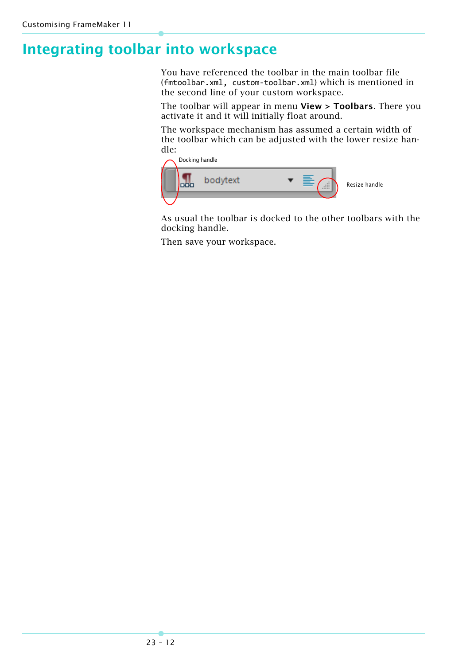# **Integrating toolbar into workspace**

You have referenced the toolbar in the main toolbar file (fmtoolbar.xml, custom‐toolbar.xml) which is mentioned in the second line of your custom workspace.

The toolbar will appear in menu **View > Toolbars**. There you activate it and it will initially float around.

The workspace mechanism has assumed a certain width of the toolbar which can be adjusted with the lower resize handle:



As usual the toolbar is docked to the other toolbars with the docking handle.

Then save your workspace.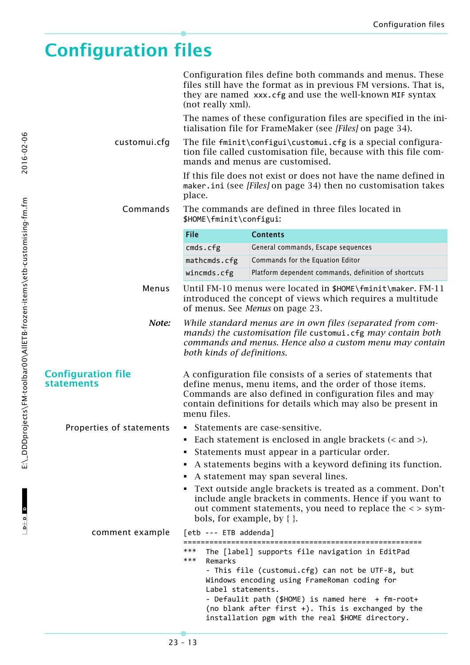# <span id="page-12-0"></span>**Configuration files**

|                                                | Configuration files define both commands and menus. These<br>files still have the format as in previous FM versions. That is,<br>they are named xxx.cfg and use the well-known MIF syntax<br>(not really xml).                                                     |                                                                                                                                                                                                                                                                                                                    |  |  |
|------------------------------------------------|--------------------------------------------------------------------------------------------------------------------------------------------------------------------------------------------------------------------------------------------------------------------|--------------------------------------------------------------------------------------------------------------------------------------------------------------------------------------------------------------------------------------------------------------------------------------------------------------------|--|--|
|                                                |                                                                                                                                                                                                                                                                    | The names of these configuration files are specified in the ini-<br>tialisation file for FrameMaker (see [Files] on page 34).                                                                                                                                                                                      |  |  |
| customui.cfg                                   | The file fminit\configui\customui.cfg is a special configura-<br>tion file called customisation file, because with this file com-<br>mands and menus are customised.                                                                                               |                                                                                                                                                                                                                                                                                                                    |  |  |
|                                                | If this file does not exist or does not have the name defined in<br>maker.ini (see [Files] on page 34) then no customisation takes<br>place.                                                                                                                       |                                                                                                                                                                                                                                                                                                                    |  |  |
| Commands                                       | \$HOME\fminit\configui:                                                                                                                                                                                                                                            | The commands are defined in three files located in                                                                                                                                                                                                                                                                 |  |  |
|                                                | File                                                                                                                                                                                                                                                               | <b>Contents</b>                                                                                                                                                                                                                                                                                                    |  |  |
|                                                | cmds.cfg                                                                                                                                                                                                                                                           | General commands, Escape sequences                                                                                                                                                                                                                                                                                 |  |  |
|                                                | mathcmds.cfg                                                                                                                                                                                                                                                       | Commands for the Equation Editor                                                                                                                                                                                                                                                                                   |  |  |
|                                                | wincmds.cfg                                                                                                                                                                                                                                                        | Platform dependent commands, definition of shortcuts                                                                                                                                                                                                                                                               |  |  |
| Menus                                          |                                                                                                                                                                                                                                                                    | Until FM-10 menus were located in \$HOME\fminit\maker. FM-11<br>introduced the concept of views which requires a multitude<br>of menus. See <i>Menus</i> on page 23.                                                                                                                                               |  |  |
| Note:                                          | both kinds of definitions.                                                                                                                                                                                                                                         | While standard menus are in own files (separated from com-<br>mands) the customisation file customui.cfg may contain both<br>commands and menus. Hence also a custom menu may contain                                                                                                                              |  |  |
| <b>Configuration file</b><br><b>statements</b> | A configuration file consists of a series of statements that<br>define menus, menu items, and the order of those items.<br>Commands are also defined in configuration files and may<br>contain definitions for details which may also be present in<br>menu files. |                                                                                                                                                                                                                                                                                                                    |  |  |
| Properties of statements                       | • Statements are case-sensitive.                                                                                                                                                                                                                                   |                                                                                                                                                                                                                                                                                                                    |  |  |
|                                                | Each statement is enclosed in angle brackets $(<$ and $>$ ).                                                                                                                                                                                                       |                                                                                                                                                                                                                                                                                                                    |  |  |
|                                                | Statements must appear in a particular order.                                                                                                                                                                                                                      |                                                                                                                                                                                                                                                                                                                    |  |  |
|                                                | A statements begins with a keyword defining its function.<br>A statement may span several lines.                                                                                                                                                                   |                                                                                                                                                                                                                                                                                                                    |  |  |
|                                                | • Text outside angle brackets is treated as a comment. Don't<br>include angle brackets in comments. Hence if you want to<br>out comment statements, you need to replace the <> sym-<br>bols, for example, by $\{\}$ .                                              |                                                                                                                                                                                                                                                                                                                    |  |  |
| comment example                                | [etb --- ETB addenda]                                                                                                                                                                                                                                              |                                                                                                                                                                                                                                                                                                                    |  |  |
|                                                | ***<br>***<br>Remarks<br>Label statements.                                                                                                                                                                                                                         | The [label] supports file navigation in EditPad<br>- This file (customui.cfg) can not be UTF-8, but<br>Windows encoding using FrameRoman coding for<br>- Defaulit path (\$HOME) is named here + fm-root+<br>(no blank after first +). This is exchanged by the<br>installation pgm with the real \$HOME directory. |  |  |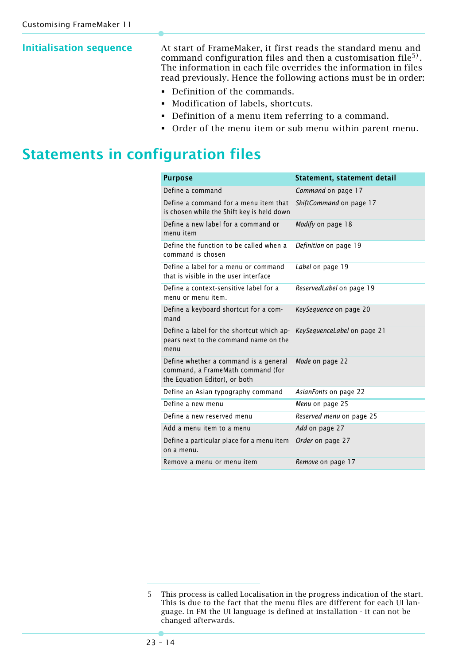**Initialisation sequence** At start of FrameMaker, it first reads the standard menu and command configuration files and then a customisation file<sup>5)</sup>. The information in each file overrides the information in files read previously. Hence the following actions must be in order:

- Definition of the commands.
- Modification of labels, shortcuts.
- Definition of a menu item referring to a command.
- Order of the menu item or sub menu within parent menu.

## **Statements in configuration files**

| <b>Purpose</b>                                                                                              | Statement, statement detail |
|-------------------------------------------------------------------------------------------------------------|-----------------------------|
| Define a command                                                                                            | Command on page 17          |
| Define a command for a menu item that<br>is chosen while the Shift key is held down                         | ShiftCommand on page 17     |
| Define a new label for a command or<br>menu item                                                            | Modify on page 18           |
| Define the function to be called when a<br>command is chosen                                                | Definition on page 19       |
| Define a label for a menu or command<br>that is visible in the user interface                               | Label on page 19            |
| Define a context-sensitive label for a<br>menu or menu item.                                                | ReservedLabel on page 19    |
| Define a keyboard shortcut for a com-<br>mand                                                               | KeySequence on page 20      |
| Define a label for the shortcut which ap-<br>pears next to the command name on the<br>menu                  | KeySequenceLabel on page 21 |
| Define whether a command is a general<br>command, a FrameMath command (for<br>the Equation Editor), or both | Mode on page 22             |
| Define an Asian typography command                                                                          | AsianFonts on page 22       |
| Define a new menu                                                                                           | Menu on page 25             |
| Define a new reserved menu                                                                                  | Reserved menu on page 25    |
| Add a menu item to a menu                                                                                   | Add on page 27              |
| Define a particular place for a menu item<br>on a menu.                                                     | Order on page 27            |
| Remove a menu or menu item                                                                                  | Remove on page 17           |

<sup>5</sup> This process is called Localisation in the progress indication of the start. This is due to the fact that the menu files are different for each UI language. In FM the UI language is defined at installation - it can not be changed afterwards.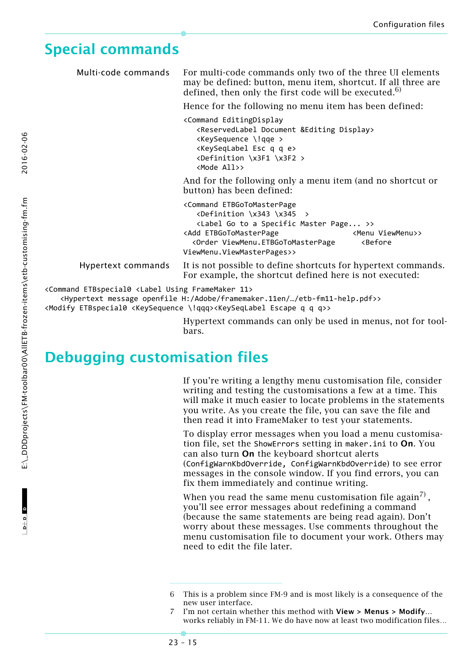## <span id="page-14-1"></span><span id="page-14-0"></span>**Special commands**

Multi-code commands For multi-code commands only two of the three UI elements may be defined: button, menu item, shortcut. If all three are defined, then only the first code will be executed. $6$ )

Hence for the following no menu item has been defined:

<Command EditingDisplay <ReservedLabel Document &Editing Display> <KeySequence \!qqe > <KeySeqLabel Esc q q e> <Definition \x3F1 \x3F2 > <Mode All>>

And for the following only a menu item (and no shortcut or button) has been defined:

<Command ETBGoToMasterPage  $\leftarrow$   $\leftarrow$   $\leftarrow$   $\leftarrow$   $\leftarrow$   $\leftarrow$   $\leftarrow$   $\leftarrow$   $\leftarrow$   $\leftarrow$   $\leftarrow$   $\leftarrow$   $\leftarrow$   $\leftarrow$   $\leftarrow$   $\leftarrow$   $\leftarrow$   $\leftarrow$   $\leftarrow$   $\leftarrow$   $\leftarrow$   $\leftarrow$   $\leftarrow$   $\leftarrow$   $\leftarrow$   $\leftarrow$   $\leftarrow$   $\leftarrow$   $\leftarrow$   $\leftarrow$   $\leftarrow$   $\leftarrow$   $\leftarrow$   $\leftarrow$   $\leftarrow$   $\leftarrow$   $\leftarrow$  <Label Go to a Specific Master Page... >> <Add ETBGoToMasterPage <Menu ViewMenu>> <Order ViewMenu.ETBGoToMasterPage <Before ViewMenu.ViewMasterPages>>

Hypertext commands It is not possible to define shortcuts for hypertext commands.

For example, the shortcut defined here is not executed:

<Command ETBspecial0 <Label Using FrameMaker 11>

<Hypertext message openfile H:/Adobe/framemaker.11en/…/etb‐fm11‐help.pdf>>

<Modify ETBspecial0 <KeySequence \!qqq><KeySeqLabel Escape q q q>>

Hypertext commands can only be used in menus, not for toolbars.

### **Debugging customisation files**

If you're writing a lengthy menu customisation file, consider writing and testing the customisations a few at a time. This will make it much easier to locate problems in the statements you write. As you create the file, you can save the file and then read it into FrameMaker to test your statements.

To display error messages when you load a menu customisation file, set the ShowErrors setting in maker.ini to **On**. You can also turn **On** the keyboard shortcut alerts

(ConfigWarnKbdOverride, ConfigWarnKbdOverride) to see error messages in the console window. If you find errors, you can fix them immediately and continue writing.

When you read the same menu customisation file again<sup>7)</sup>, you'll see error messages about redefining a command (because the same statements are being read again). Don't worry about these messages. Use comments throughout the menu customisation file to document your work. Others may need to edit the file later.

<sup>6</sup> This is a problem since FM-9 and is most likely is a consequence of the new user interface.

<sup>7</sup> I'm not certain whether this method with **View > Menus > Modify…** works reliably in FM-11. We do have now at least two modification files…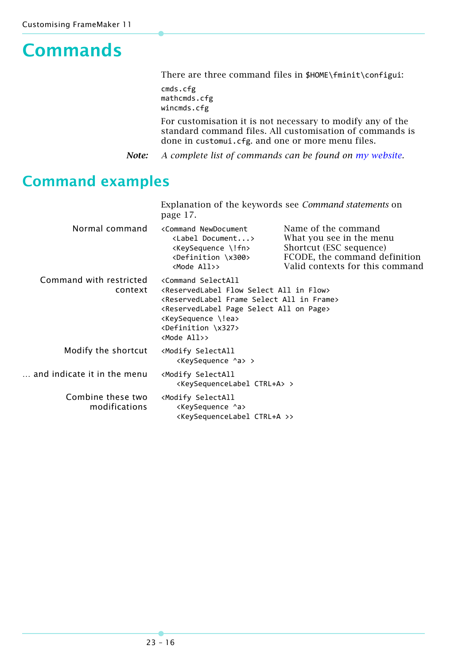# <span id="page-15-0"></span>**Commands**

There are three command files in \$HOME\fminit\configui:

cmds.cfg mathcmds.cfg wincmds.cfg

For customisation it is not necessary to modify any of the standard command files. All customisation of commands is done in customui.cfg. and one or more menu files.

*Note: A complete list of commands can be found on [my website](http://www.daube.ch/docu/files/etb-fm11-commands.pdf).*

## **Command examples**

|                                    | Explanation of the keywords see Command statements on<br>page 17.                                                                                                                                                                                                                                                                            |                                                                                                                                                |  |
|------------------------------------|----------------------------------------------------------------------------------------------------------------------------------------------------------------------------------------------------------------------------------------------------------------------------------------------------------------------------------------------|------------------------------------------------------------------------------------------------------------------------------------------------|--|
| Normal command                     | <command newdocument<br=""/> <label document=""><br/><keysequence \!fn=""><br/><definition \x300=""><br/><mode all="">&gt;</mode></definition></keysequence></label>                                                                                                                                                                         | Name of the command<br>What you see in the menu<br>Shortcut (ESC sequence)<br>FCODE, the command definition<br>Valid contexts for this command |  |
| Command with restricted<br>context | <command selectall<br=""/> <reservedlabel all="" flow="" in="" select=""><br/><reservedlabel all="" frame="" in="" select=""><br/><reservedlabel all="" on="" page="" select=""><br/><keysequence \!ea=""><br/><definition \x327=""><br/><mode all="">&gt;</mode></definition></keysequence></reservedlabel></reservedlabel></reservedlabel> |                                                                                                                                                |  |
| Modify the shortcut                | <modify selectall<br=""><keysequence ^a=""> &gt;</keysequence></modify>                                                                                                                                                                                                                                                                      |                                                                                                                                                |  |
| and indicate it in the menu        | <modify selectall<br=""><keysequencelabel ctrl+a=""> &gt;</keysequencelabel></modify>                                                                                                                                                                                                                                                        |                                                                                                                                                |  |
| Combine these two<br>modifications | <modify selectall<br=""><keysequence ^a=""><br/><keysequencelabel ctrl+a="">&gt;</keysequencelabel></keysequence></modify>                                                                                                                                                                                                                   |                                                                                                                                                |  |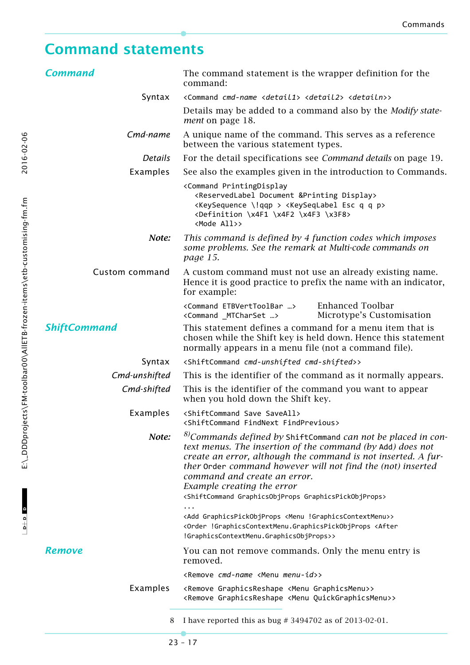# <span id="page-16-0"></span>**Command statements**

<span id="page-16-3"></span><span id="page-16-2"></span><span id="page-16-1"></span>

| <b>Command</b>      | The command statement is the wrapper definition for the<br>command:                                                                                                                                                                                                                                                                                                                                                                                                                                                                                                                                                 |  |
|---------------------|---------------------------------------------------------------------------------------------------------------------------------------------------------------------------------------------------------------------------------------------------------------------------------------------------------------------------------------------------------------------------------------------------------------------------------------------------------------------------------------------------------------------------------------------------------------------------------------------------------------------|--|
| Syntax              | <command <detail1="" cmd-name=""/> <detail2> <detailn>&gt;</detailn></detail2>                                                                                                                                                                                                                                                                                                                                                                                                                                                                                                                                      |  |
|                     | Details may be added to a command also by the <i>Modify state</i> -<br><i>ment</i> on page 18.                                                                                                                                                                                                                                                                                                                                                                                                                                                                                                                      |  |
| Cmd-name            | A unique name of the command. This serves as a reference<br>between the various statement types.                                                                                                                                                                                                                                                                                                                                                                                                                                                                                                                    |  |
| <b>Details</b>      | For the detail specifications see <i>Command details</i> on page 19.                                                                                                                                                                                                                                                                                                                                                                                                                                                                                                                                                |  |
| Examples            | See also the examples given in the introduction to Commands.                                                                                                                                                                                                                                                                                                                                                                                                                                                                                                                                                        |  |
|                     | <command printingdisplay<br=""/> <reservedlabel &printing="" display="" document=""><br/><keysequence \!qqp=""> <keyseqlabel esc="" p="" q=""><br/><definition \x3f8="" \x4f1="" \x4f2="" \x4f3=""><br/><mode all="">&gt;</mode></definition></keyseqlabel></keysequence></reservedlabel>                                                                                                                                                                                                                                                                                                                           |  |
| Note:               | This command is defined by 4 function codes which imposes<br>some problems. See the remark at Multi-code commands on<br>page 15.                                                                                                                                                                                                                                                                                                                                                                                                                                                                                    |  |
| Custom command      | A custom command must not use an already existing name.<br>Hence it is good practice to prefix the name with an indicator,<br>for example:                                                                                                                                                                                                                                                                                                                                                                                                                                                                          |  |
|                     | <b>Enhanced Toolbar</b><br><command etbverttoolbar=""/><br>Microtype's Customisation<br><command _mtcharset=""/>                                                                                                                                                                                                                                                                                                                                                                                                                                                                                                    |  |
| <b>ShiftCommand</b> | This statement defines a command for a menu item that is<br>chosen while the Shift key is held down. Hence this statement<br>normally appears in a menu file (not a command file).                                                                                                                                                                                                                                                                                                                                                                                                                                  |  |
| Syntax              | <shiftcommand cmd-shifted="" cmd-unshifted="">&gt;</shiftcommand>                                                                                                                                                                                                                                                                                                                                                                                                                                                                                                                                                   |  |
| Cmd-unshifted       | This is the identifier of the command as it normally appears.                                                                                                                                                                                                                                                                                                                                                                                                                                                                                                                                                       |  |
| Cmd-shifted         | This is the identifier of the command you want to appear<br>when you hold down the Shift key.                                                                                                                                                                                                                                                                                                                                                                                                                                                                                                                       |  |
| Examples            | <shiftcommand save="" saveall=""><br/><shiftcommand findnext="" findprevious=""></shiftcommand></shiftcommand>                                                                                                                                                                                                                                                                                                                                                                                                                                                                                                      |  |
| Note:               | $^{8)}$ Commands defined by ShiftCommand can not be placed in con-<br>text menus. The insertion of the command (by Add) does not<br>create an error, although the command is not inserted. A fur-<br>ther Order command however will not find the (not) inserted<br>command and create an error.<br>Example creating the error<br><shiftcommand graphicsobjprops="" graphicspickobjprops=""><br/><add !graphicscontextmenu="" <menu="" graphicspickobjprops="">&gt;<br/><order !graphicscontextmenu.graphicspickobjprops="" <after<br="">!GraphicsContextMenu.GraphicsObjProps&gt;&gt;</order></add></shiftcommand> |  |
| <b>Remove</b>       | You can not remove commands. Only the menu entry is                                                                                                                                                                                                                                                                                                                                                                                                                                                                                                                                                                 |  |
|                     | removed.                                                                                                                                                                                                                                                                                                                                                                                                                                                                                                                                                                                                            |  |
|                     | <remove <menu="" cmd-name="" menu-id="">&gt;</remove>                                                                                                                                                                                                                                                                                                                                                                                                                                                                                                                                                               |  |
| Examples            | <remove <menu="" graphicsmenu="" graphicsreshape="">&gt;<br/><remove <menu="" graphicsreshape="" quickgraphicsmenu="">&gt;</remove></remove>                                                                                                                                                                                                                                                                                                                                                                                                                                                                        |  |
| 8                   | I have reported this as bug $\#$ 3494702 as of 2013-02-01.                                                                                                                                                                                                                                                                                                                                                                                                                                                                                                                                                          |  |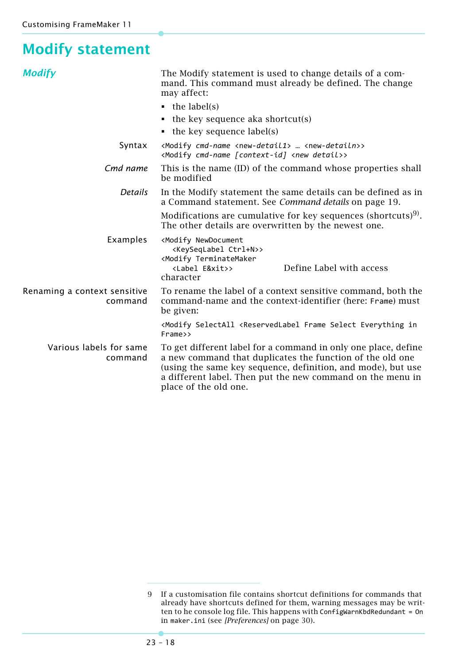## <span id="page-17-0"></span>**Modify statement**

<span id="page-17-1"></span>

| <b>Modify</b>                           | The Modify statement is used to change details of a com-<br>mand. This command must already be defined. The change<br>may affect:                                                                                                                                                  |  |  |
|-----------------------------------------|------------------------------------------------------------------------------------------------------------------------------------------------------------------------------------------------------------------------------------------------------------------------------------|--|--|
|                                         | $\bullet$ the label(s)                                                                                                                                                                                                                                                             |  |  |
|                                         | $\bullet$ the key sequence aka shortcut(s)                                                                                                                                                                                                                                         |  |  |
|                                         | $\bullet$ the key sequence label(s)                                                                                                                                                                                                                                                |  |  |
| Syntax                                  | <modify <new-detail1="" cmd-name=""> <new-detailn>&gt;<br/><modify <new="" [context-id]="" cmd-name="" detail="">&gt;</modify></new-detailn></modify>                                                                                                                              |  |  |
| Cmd name                                | This is the name (ID) of the command whose properties shall<br>be modified                                                                                                                                                                                                         |  |  |
| <b>Details</b>                          | In the Modify statement the same details can be defined as in<br>a Command statement. See Command details on page 19.                                                                                                                                                              |  |  |
|                                         | Modifications are cumulative for key sequences (shortcuts) <sup>9)</sup> .<br>The other details are overwritten by the newest one.                                                                                                                                                 |  |  |
| Examples                                | <modify newdocument<br=""><keyseqlabel ctrl+n="">&gt;<br/><modify terminatemaker<br="">Define Label with access<br/><label e&xit="">&gt;<br/>character</label></modify></keyseqlabel></modify>                                                                                     |  |  |
| Renaming a context sensitive<br>command | To rename the label of a context sensitive command, both the<br>command-name and the context-identifier (here: Frame) must<br>be given:                                                                                                                                            |  |  |
|                                         | <modify <reservedlabel="" everything="" frame="" in<br="" select="" selectall="">Frame&gt;&gt;</modify>                                                                                                                                                                            |  |  |
| Various labels for same<br>command      | To get different label for a command in only one place, define<br>a new command that duplicates the function of the old one<br>(using the same key sequence, definition, and mode), but use<br>a different label. Then put the new command on the menu in<br>place of the old one. |  |  |

<sup>9</sup> If a customisation file contains shortcut definitions for commands that already have shortcuts defined for them, warning messages may be written to he console log file. This happens with ConfigWarnKbdRedundant = On in maker.ini (see *[\[Preferences\]](#page-29-0)* on page 30).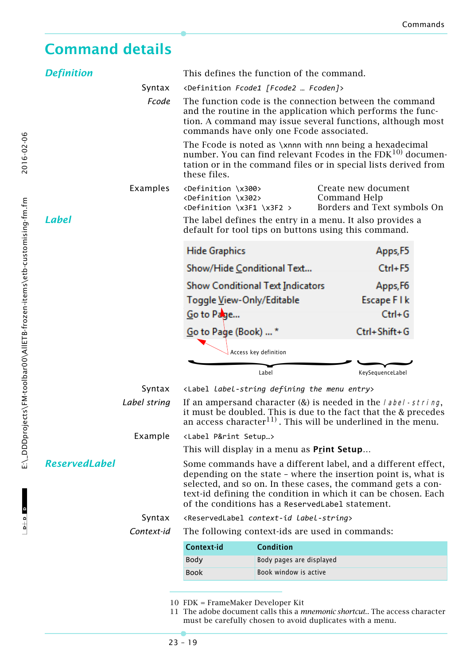## <span id="page-18-0"></span>**Command details**

<span id="page-18-2"></span><span id="page-18-1"></span>

| <b>Definition</b>    |              | This defines the function of the command.                                                                                                                                                                                                                                                                             |                       |                                                                                                                   |  |  |
|----------------------|--------------|-----------------------------------------------------------------------------------------------------------------------------------------------------------------------------------------------------------------------------------------------------------------------------------------------------------------------|-----------------------|-------------------------------------------------------------------------------------------------------------------|--|--|
|                      | Syntax       | <definition [fcode2="" fcode1="" fcoden]=""></definition>                                                                                                                                                                                                                                                             |                       |                                                                                                                   |  |  |
|                      | Fcode        | The function code is the connection between the command<br>and the routine in the application which performs the func-<br>tion. A command may issue several functions, although most<br>commands have only one Fcode associated.                                                                                      |                       |                                                                                                                   |  |  |
|                      |              | The Fcode is noted as \xnnn with nnn being a hexadecimal<br>number. You can find relevant Fcodes in the $FDK10$ documen-<br>tation or in the command files or in special lists derived from<br>these files.                                                                                                           |                       |                                                                                                                   |  |  |
|                      | Examples     | <definition \x300=""><br/><definition \x302=""><br/><definition \x3f1="" \x3f2=""></definition></definition></definition>                                                                                                                                                                                             |                       | Create new document<br>Command Help<br>Borders and Text symbols On                                                |  |  |
| <b>Label</b>         |              |                                                                                                                                                                                                                                                                                                                       |                       | The label defines the entry in a menu. It also provides a<br>default for tool tips on buttons using this command. |  |  |
|                      |              | <b>Hide Graphics</b>                                                                                                                                                                                                                                                                                                  |                       | Apps, F5                                                                                                          |  |  |
|                      |              | Show/Hide Conditional Text                                                                                                                                                                                                                                                                                            |                       | Ctrl+F5                                                                                                           |  |  |
|                      |              | Show Conditional Text Indicators                                                                                                                                                                                                                                                                                      |                       | Apps, F6                                                                                                          |  |  |
|                      |              | Toggle <u>V</u> iew-Only/Editable                                                                                                                                                                                                                                                                                     |                       | Escape FIk                                                                                                        |  |  |
|                      |              | Go to Page                                                                                                                                                                                                                                                                                                            |                       | $Ctrl + G$                                                                                                        |  |  |
|                      |              | Go to Page (Book)  *                                                                                                                                                                                                                                                                                                  |                       | Ctrl+Shift+G                                                                                                      |  |  |
|                      |              |                                                                                                                                                                                                                                                                                                                       | Access key definition |                                                                                                                   |  |  |
|                      |              |                                                                                                                                                                                                                                                                                                                       | Label                 | KeySequenceLabel                                                                                                  |  |  |
|                      | Syntax       | <label defining="" entry="" label-string="" menu="" the=""></label>                                                                                                                                                                                                                                                   |                       |                                                                                                                   |  |  |
|                      | Label string | If an ampersand character $(x)$ is needed in the <i>label</i> - string,<br>it must be doubled. This is due to the fact that the & precedes<br>an access character <sup>11)</sup> . This will be underlined in the menu.                                                                                               |                       |                                                                                                                   |  |  |
|                      | Example      | <label p&rint="" setup=""></label>                                                                                                                                                                                                                                                                                    |                       |                                                                                                                   |  |  |
|                      |              | This will display in a menu as <b>Print Setup</b>                                                                                                                                                                                                                                                                     |                       |                                                                                                                   |  |  |
| <b>ReservedLabel</b> |              | Some commands have a different label, and a different effect,<br>depending on the state - where the insertion point is, what is<br>selected, and so on. In these cases, the command gets a con-<br>text-id defining the condition in which it can be chosen. Each<br>of the conditions has a ReservedLabel statement. |                       |                                                                                                                   |  |  |
|                      | Syntax       | <reservedlabel context-id="" label-string=""></reservedlabel>                                                                                                                                                                                                                                                         |                       |                                                                                                                   |  |  |
|                      | Context-id   |                                                                                                                                                                                                                                                                                                                       |                       | The following context-ids are used in commands:                                                                   |  |  |
|                      |              | Context-id                                                                                                                                                                                                                                                                                                            | <b>Condition</b>      |                                                                                                                   |  |  |
|                      |              | Body pages are displayed<br>Body                                                                                                                                                                                                                                                                                      |                       |                                                                                                                   |  |  |
|                      |              | <b>Book</b>                                                                                                                                                                                                                                                                                                           | Book window is active |                                                                                                                   |  |  |
|                      |              |                                                                                                                                                                                                                                                                                                                       |                       |                                                                                                                   |  |  |

- 10 FDK = FrameMaker Developer Kit
- 11 The adobe document calls this a *mnemonic shortcut*.. The access character must be carefully chosen to avoid duplicates with a menu.

<span id="page-18-3"></span> $D + D$  D

 $-0+0$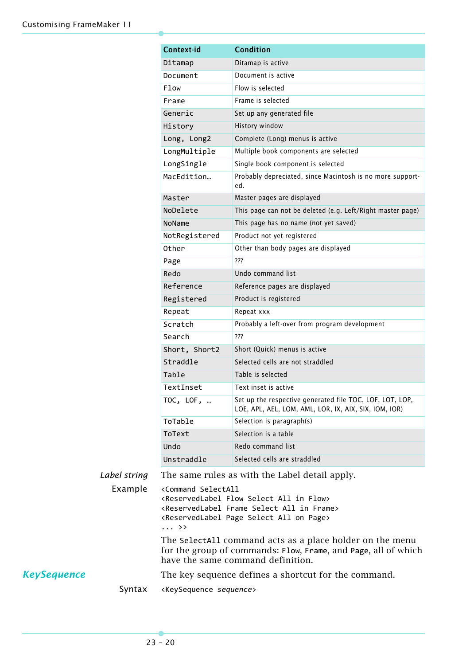|              | Context-id                                                                                                                                                                                                                                                                        | <b>Condition</b>                                                                                                  |  |  |
|--------------|-----------------------------------------------------------------------------------------------------------------------------------------------------------------------------------------------------------------------------------------------------------------------------------|-------------------------------------------------------------------------------------------------------------------|--|--|
|              | Ditamap                                                                                                                                                                                                                                                                           | Ditamap is active                                                                                                 |  |  |
|              | Document                                                                                                                                                                                                                                                                          | Document is active                                                                                                |  |  |
|              | <b>Flow</b>                                                                                                                                                                                                                                                                       | Flow is selected                                                                                                  |  |  |
|              | Frame                                                                                                                                                                                                                                                                             | Frame is selected                                                                                                 |  |  |
|              | Generic                                                                                                                                                                                                                                                                           | Set up any generated file                                                                                         |  |  |
|              | History                                                                                                                                                                                                                                                                           | History window                                                                                                    |  |  |
|              | Long, Long2                                                                                                                                                                                                                                                                       | Complete (Long) menus is active                                                                                   |  |  |
|              | LongMultiple                                                                                                                                                                                                                                                                      | Multiple book components are selected                                                                             |  |  |
|              | LongSingle                                                                                                                                                                                                                                                                        | Single book component is selected                                                                                 |  |  |
|              | MacEdition                                                                                                                                                                                                                                                                        | Probably depreciated, since Macintosh is no more support-<br>ed.                                                  |  |  |
|              | Master                                                                                                                                                                                                                                                                            | Master pages are displayed                                                                                        |  |  |
|              | NoDelete                                                                                                                                                                                                                                                                          | This page can not be deleted (e.g. Left/Right master page)                                                        |  |  |
|              | NoName                                                                                                                                                                                                                                                                            | This page has no name (not yet saved)                                                                             |  |  |
|              | NotRegistered                                                                                                                                                                                                                                                                     | Product not yet registered                                                                                        |  |  |
|              | Other                                                                                                                                                                                                                                                                             | Other than body pages are displayed                                                                               |  |  |
|              | Page                                                                                                                                                                                                                                                                              | ???                                                                                                               |  |  |
|              | Redo                                                                                                                                                                                                                                                                              | Undo command list                                                                                                 |  |  |
|              | Reference                                                                                                                                                                                                                                                                         | Reference pages are displayed                                                                                     |  |  |
|              | Registered                                                                                                                                                                                                                                                                        | Product is registered                                                                                             |  |  |
|              | Repeat                                                                                                                                                                                                                                                                            | Repeat xxx                                                                                                        |  |  |
|              | Scratch                                                                                                                                                                                                                                                                           | Probably a left-over from program development                                                                     |  |  |
|              | Search                                                                                                                                                                                                                                                                            | ???                                                                                                               |  |  |
|              | Short, Short2                                                                                                                                                                                                                                                                     | Short (Quick) menus is active                                                                                     |  |  |
|              | Straddle                                                                                                                                                                                                                                                                          | Selected cells are not straddled                                                                                  |  |  |
|              | Table                                                                                                                                                                                                                                                                             | Table is selected                                                                                                 |  |  |
|              | TextInset                                                                                                                                                                                                                                                                         | Text inset is active                                                                                              |  |  |
|              | TOC, LOF,                                                                                                                                                                                                                                                                         | Set up the respective generated file TOC, LOF, LOT, LOP,<br>LOE, APL, AEL, LOM, AML, LOR, IX, AIX, SIX, IOM, IOR) |  |  |
|              | ToTable                                                                                                                                                                                                                                                                           | Selection is paragraph(s)                                                                                         |  |  |
|              | ToText                                                                                                                                                                                                                                                                            | Selection is a table                                                                                              |  |  |
|              | Undo                                                                                                                                                                                                                                                                              | Redo command list                                                                                                 |  |  |
|              | Unstraddle                                                                                                                                                                                                                                                                        | Selected cells are straddled                                                                                      |  |  |
| Label string | The same rules as with the Label detail apply.                                                                                                                                                                                                                                    |                                                                                                                   |  |  |
| Example      | <command selectall<br=""/> <reservedlabel all="" flow="" in="" select=""><br/><reservedlabel all="" frame="" in="" select=""><br/><reservedlabel all="" on="" page="" select=""><br/><math>\ldots</math> <math>\rightarrow</math></reservedlabel></reservedlabel></reservedlabel> |                                                                                                                   |  |  |
|              | The SelectAll command acts as a place holder on the menu<br>for the group of commands: Flow, Frame, and Page, all of which<br>have the same command definition.                                                                                                                   |                                                                                                                   |  |  |
|              | The key sequence defines a shortcut for the command.                                                                                                                                                                                                                              |                                                                                                                   |  |  |
| Syntax       | <keysequence sequence=""></keysequence>                                                                                                                                                                                                                                           |                                                                                                                   |  |  |

<span id="page-19-0"></span>**KeySequence**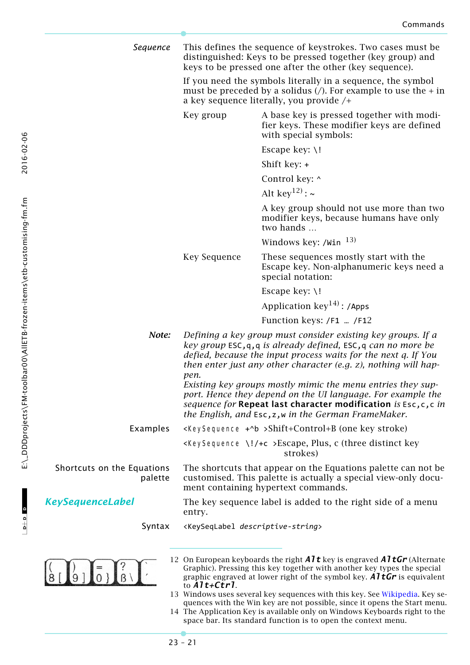*Sequence* This defines the sequence of keystrokes. Two cases must be distinguished: Keys to be pressed together (key group) and keys to be pressed one after the other (key sequence). If you need the symbols literally in a sequence, the symbol must be preceded by a solidus  $\binom{n}{k}$ . For example to use the  $+$  in a key sequence literally, you provide /+ Key group A base key is pressed together with modifier keys. These modifier keys are defined with special symbols: Escape key: \! Shift key: + Control key: ^ Alt key<sup>12)</sup> :  $\sim$ A key group should not use more than two modifier keys, because humans have only two hands … Windows key:  $/$ Win  $^{13)}$ Key Sequence These sequences mostly start with the Escape key. Non-alphanumeric keys need a special notation: Escape key: \! Application  $key^{14}$ : /Apps Function keys: /F1 … /F12 *Note: Defining a key group must consider existing key groups. If a key group* ESC,q,q *is already defined,* ESC,q *can no more be defied, because the input process waits for the next q. If You then enter just any other character (e.g. z), nothing will happen. Existing key groups mostly mimic the menu entries they support. Hence they depend on the UI language. For example the sequence for* **Repeat last character modification** *is* Esc,c,c *in the English, and* Esc,z,w *in the German FrameMaker.* Examples <KeySequence +^b >Shift+Control+B (one key stroke)  $\langle$ KeySequence \!/+c >Escape, Plus, c (three distinct key strokes) Shortcuts on the Equations The shortcuts that appear on the Equations palette can not be customised. This palette is actually a special view-only docupalette ment containing hypertext commands. *KeySequenceLabel* The key sequence label is added to the right side of a menu entry. Syntax <KeySeqLabel *descriptive-string*> 12 On European keyboards the right *Alt* key is engraved *AltGr* (Alternate  $\begin{bmatrix} 1 \\ 9 \\ 1 \end{bmatrix}$  =  $\begin{bmatrix} 2 \\ 1 \\ 6 \end{bmatrix}$ Graphic). Pressing this key together with another key types the special graphic engraved at lower right of the symbol key. *AltGr* is equivalent to *Alt+Ctrl*.

13 Windows uses several key sequences with this key. See [Wikipedia](http://en.wikipedia.org/wiki/Windows_key#Use_with_Microsoft_Windows). Key sequences with the Win key are not possible, since it opens the Start menu.

14 The Application Key is available only on Windows Keyboards right to the space bar. Its standard function is to open the context menu.

<span id="page-20-0"></span> $\begin{array}{c|c|c|c|c} \hline \multicolumn{3}{c|}{\mathbf{b}+\mathbf{b}} & \multicolumn{3}{c|}{\mathbf{b}} \end{array}$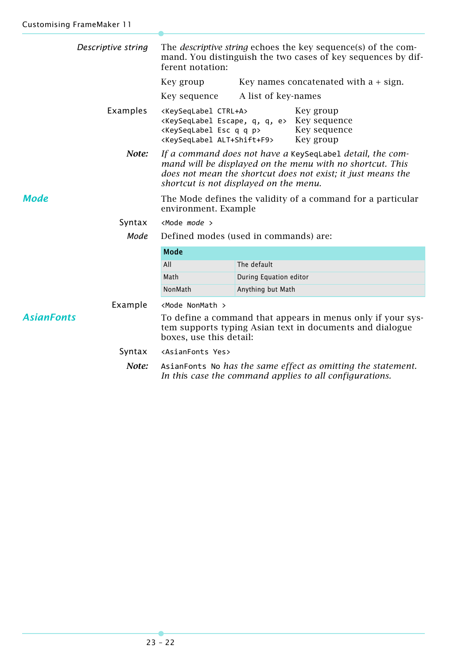<span id="page-21-1"></span><span id="page-21-0"></span>

| Descriptive string                                                                                                                                                      | The <i>descriptive string</i> echoes the key sequence(s) of the com-<br>mand. You distinguish the two cases of key sequences by dif-<br>ferent notation:                                                                         |                        |                                          |
|-------------------------------------------------------------------------------------------------------------------------------------------------------------------------|----------------------------------------------------------------------------------------------------------------------------------------------------------------------------------------------------------------------------------|------------------------|------------------------------------------|
|                                                                                                                                                                         | Key group                                                                                                                                                                                                                        |                        | Key names concatenated with $a + sign$ . |
|                                                                                                                                                                         | Key sequence                                                                                                                                                                                                                     | A list of key-names    |                                          |
| Examples                                                                                                                                                                | <keyseqlabel ctrl+a=""><br/><keyseqlabel e="" escape,="" q,=""> Key sequence<br/><keyseqlabel esc="" p="" q=""><br/><keyseqlabel alt+shift+f9=""></keyseqlabel></keyseqlabel></keyseqlabel></keyseqlabel>                        |                        | Key group<br>Key sequence<br>Key group   |
| Note:                                                                                                                                                                   | If a command does not have a KeySeqLabel detail, the com-<br>mand will be displayed on the menu with no shortcut. This<br>does not mean the shortcut does not exist; it just means the<br>shortcut is not displayed on the menu. |                        |                                          |
| <b>Mode</b>                                                                                                                                                             | The Mode defines the validity of a command for a particular<br>environment. Example                                                                                                                                              |                        |                                          |
| Syntax                                                                                                                                                                  | $<$ Mode mode $>$                                                                                                                                                                                                                |                        |                                          |
| Mode                                                                                                                                                                    | Defined modes (used in commands) are:                                                                                                                                                                                            |                        |                                          |
|                                                                                                                                                                         | <b>Mode</b>                                                                                                                                                                                                                      |                        |                                          |
|                                                                                                                                                                         | All                                                                                                                                                                                                                              | The default            |                                          |
|                                                                                                                                                                         | Math                                                                                                                                                                                                                             | During Equation editor |                                          |
|                                                                                                                                                                         | NonMath                                                                                                                                                                                                                          | Anything but Math      |                                          |
| Example                                                                                                                                                                 | <mode nonmath=""></mode>                                                                                                                                                                                                         |                        |                                          |
| <b>AsianFonts</b><br>To define a command that appears in menus only if your sys-<br>tem supports typing Asian text in documents and dialogue<br>boxes, use this detail: |                                                                                                                                                                                                                                  |                        |                                          |
| Syntax                                                                                                                                                                  | <asianfonts yes=""></asianfonts>                                                                                                                                                                                                 |                        |                                          |
| Note:                                                                                                                                                                   | AsianFonts No has the same effect as omitting the statement.<br>In this case the command applies to all configurations.                                                                                                          |                        |                                          |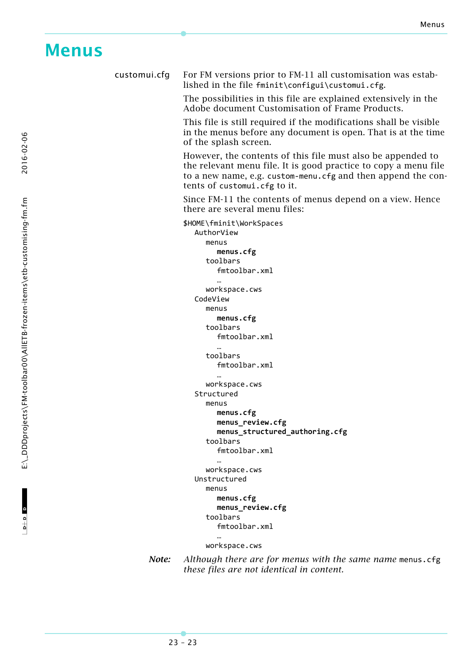## <span id="page-22-0"></span>**Menus**

customui.cfg For FM versions prior to FM-11 all customisation was established in the file fminit\configui\customui.cfg.

The possibilities in this file are explained extensively in the Adobe document Customisation of Frame Products.

This file is still required if the modifications shall be visible in the menus before any document is open. That is at the time of the splash screen.

However, the contents of this file must also be appended to the relevant menu file. It is good practice to copy a menu file to a new name, e.g. custom‐menu.cfg and then append the contents of customui.cfg to it.

Since FM-11 the contents of menus depend on a view. Hence there are several menu files:

\$HOME\fminit\WorkSpaces AuthorView menus **menus.cfg** toolbars fmtoolbar.xml … workspace.cws CodeView menus **menus.cfg** toolbars fmtoolbar.xml … toolbars fmtoolbar.xml … workspace.cws Structured menus **menus.cfg menus\_review.cfg menus\_structured\_authoring.cfg** toolbars fmtoolbar.xml … workspace.cws Unstructured menus **menus.cfg menus\_review.cfg** toolbars fmtoolbar.xml … workspace.cws

*Note: Although there are for menus with the same name* menus.cfg *these files are not identical in content.*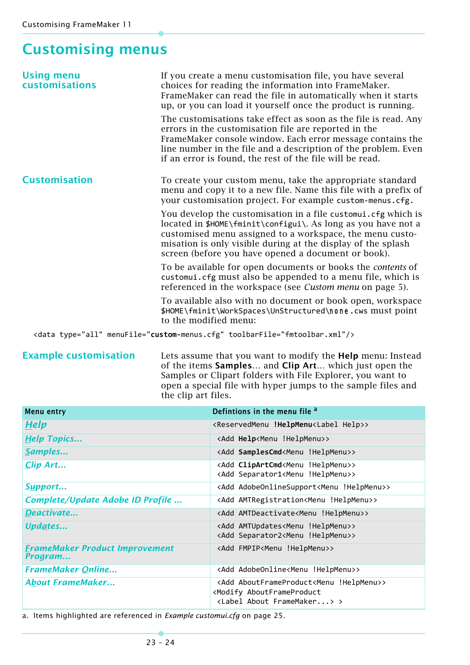## <span id="page-23-0"></span>**Customising menus**

| <b>Using menu</b><br><b>customisations</b> | If you create a menu customisation file, you have several<br>choices for reading the information into FrameMaker.<br>FrameMaker can read the file in automatically when it starts<br>up, or you can load it yourself once the product is running.                                                                   |
|--------------------------------------------|---------------------------------------------------------------------------------------------------------------------------------------------------------------------------------------------------------------------------------------------------------------------------------------------------------------------|
|                                            | The customisations take effect as soon as the file is read. Any<br>errors in the customisation file are reported in the<br>FrameMaker console window. Each error message contains the<br>line number in the file and a description of the problem. Even<br>if an error is found, the rest of the file will be read. |
| <b>Customisation</b>                       | To create your custom menu, take the appropriate standard<br>menu and copy it to a new file. Name this file with a prefix of<br>your customisation project. For example custom-menus.cfg.                                                                                                                           |
|                                            | You develop the customisation in a file customui.cfg which is<br>located in \$HOME\fminit\configui\. As long as you have not a<br>customised menu assigned to a workspace, the menu custo-<br>misation is only visible during at the display of the splash<br>screen (before you have opened a document or book).   |
|                                            | To be available for open documents or books the contents of<br>customui.cfg must also be appended to a menu file, which is<br>referenced in the workspace (see Custom menu on page 5).                                                                                                                              |
|                                            | To available also with no document or book open, workspace<br>\$HOME\fminit\WorkSpaces\UnStructured\none.cws must point<br>to the modified menu:                                                                                                                                                                    |
|                                            | <data menufile="custom-menus.cfg" toolbarfile="fmtoolbar.xml" type="all"></data>                                                                                                                                                                                                                                    |

**Example customisation** Lets assume that you want to modify the **Help** menu: Instead of the items **Samples…** and **Clip Art…** which just open the Samples or Clipart folders with File Explorer, you want to open a special file with hyper jumps to the sample files and the clip art files.

| <b>Menu entry</b>                                | Defintions in the menu file <sup>a</sup>                                                                                                        |
|--------------------------------------------------|-------------------------------------------------------------------------------------------------------------------------------------------------|
| <b>Help</b>                                      | <reservedmenu !helpmenu<label="" help="">&gt;</reservedmenu>                                                                                    |
| <b>Help Topics</b>                               | <add !helpmenu="" help<menu="">&gt;</add>                                                                                                       |
| Samples                                          | <add !helpmenu="" samplescmd<menu="">&gt;</add>                                                                                                 |
| Clip Art                                         | <add !helpmenu="" clipartcmd<menu="">&gt;<br/><add !helpmenu="" separator1<menu="">&gt;</add></add>                                             |
| Support                                          | <add !helpmenu="" adobeonlinesupport<menu="">&gt;</add>                                                                                         |
| Complete/Update Adobe ID Profile                 | <add !helpmenu="" amtregistration<menu="">&gt;</add>                                                                                            |
| Deactivate                                       | <add !helpmenu="" amtdeactivate<menu="">&gt;</add>                                                                                              |
| Updates                                          | <add !helpmenu="" amtupdates<menu="">&gt;<br/><add !helpmenu="" separator2<menu="">&gt;</add></add>                                             |
| <b>FrameMaker Product Improvement</b><br>Program | <add !helpmenu="" fmpip<menu="">&gt;</add>                                                                                                      |
| <b>FrameMaker Online</b>                         | <add !helpmenu="" adobeonline<menu="">&gt;</add>                                                                                                |
| <b>About FrameMaker</b>                          | <add !helpmenu="" aboutframeproduct<menu="">&gt;<br/><modify aboutframeproduct<br=""><label about="" framemaker=""> &gt;</label></modify></add> |

a. Items highlighted are referenced in *[Example customui.cfg](#page-24-2)* on page 25.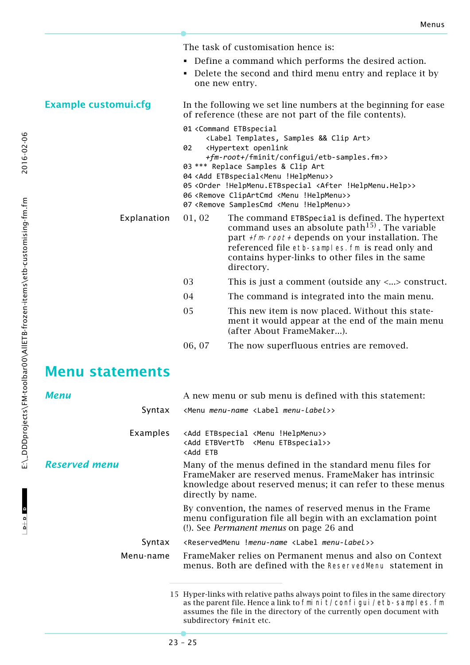The task of customisation hence is:

- Define a command which performs the desired action.
- Delete the second and third menu entry and replace it by one new entry.

<span id="page-24-2"></span>**Example customui.cfg** In the following we set line numbers at the beginning for ease of reference (these are not part of the file contents). 01 <Command ETBspecial <Label Templates, Samples && Clip Art> 02 <Hypertext openlink

- *+fm-root+*/fminit/configui/etb‐samples.fm>>
- 03 \*\*\* Replace Samples & Clip Art
- 04 <Add ETBspecial<Menu !HelpMenu>>
- 05 <Order !HelpMenu.ETBspecial <After !HelpMenu.Help>>
- 06 <Remove ClipArtCmd <Menu !HelpMenu>>
- 07 <Remove SamplesCmd <Menu !HelpMenu>>
- Explanation 01, 02 The command ETBSpecial is defined. The hypertext command uses an absolute path<sup>15)</sup>. The variable part  $+fm$ -root + depends on your installation. The referenced file etb-samples.fm is read only and contains hyper-links to other files in the same directory.
	- 03 This is just a comment (outside any <...> construct.
	- 04 The command is integrated into the main menu.
	- 05 This new item is now placed. Without this statement it would appear at the end of the main menu (after About FrameMaker...).

assumes the file in the directory of the currently open document with

06, 07 The now superfluous entries are removed.

### **Menu statements**

<span id="page-24-1"></span><span id="page-24-0"></span>

| <b>Menu</b>   | A new menu or sub menu is defined with this statement:                                                                                                                                                  |
|---------------|---------------------------------------------------------------------------------------------------------------------------------------------------------------------------------------------------------|
| Syntax        | <menu <label="" menu-label="" menu-name="">&gt;</menu>                                                                                                                                                  |
| Examples      | <add !helpmenu="" <menu="" etbspecial="">&gt;<br/><add <menu="" etbspecial="" etbverttb="">&gt;<br/><add etb<="" td=""></add></add></add>                                                               |
| Reserved menu | Many of the menus defined in the standard menu files for<br>FrameMaker are reserved menus. FrameMaker has intrinsic<br>knowledge about reserved menus; it can refer to these menus<br>directly by name. |
|               | By convention, the names of reserved menus in the Frame<br>menu configuration file all begin with an exclamation point<br>(!). See <i>Permanent menus</i> on page 26 and                                |
| Syntax        | <reservedmenu !menu-name="" <label="" menu-label="">&gt;</reservedmenu>                                                                                                                                 |
| Menu-name     | FrameMaker relies on Permanent menus and also on Context<br>menus. Both are defined with the ReservedMenu statement in                                                                                  |
|               | 15 Hyper-links with relative paths always point to files in the same directory<br>as the parent file. Hence a link to fmi ni $t$ /confi gui /etb-sampl es. fm                                           |

subdirectory fminit etc.

2016-02-06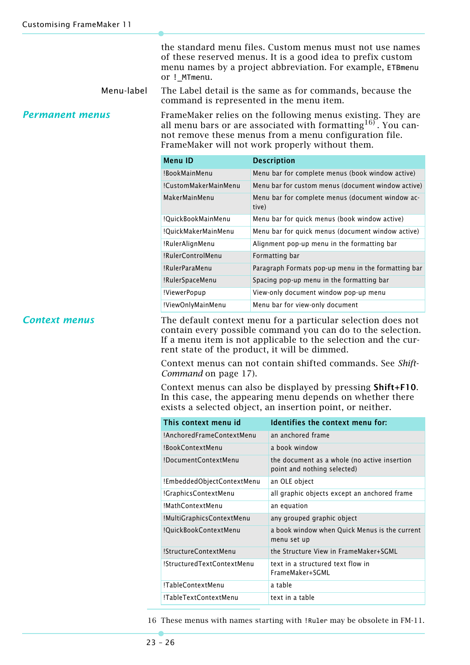the standard menu files. Custom menus must not use names of these reserved menus. It is a good idea to prefix custom menu names by a project abbreviation. For example, ETBmenu or !\_MTmenu.

Menu-label The Label detail is the same as for commands, because the command is represented in the menu item.

<span id="page-25-0"></span>*Permanent menus* FrameMaker relies on the following menus existing. They are all menu bars or are associated with formatting  $16$ . You cannot remove these menus from a menu configuration file. FrameMaker will not work properly without them.

| <b>Menu ID</b>       | <b>Description</b>                                        |
|----------------------|-----------------------------------------------------------|
| !BookMainMenu        | Menu bar for complete menus (book window active)          |
| !CustomMakerMainMenu | Menu bar for custom menus (document window active)        |
| MakerMainMenu        | Menu bar for complete menus (document window ac-<br>tive) |
| !QuickBookMainMenu   | Menu bar for quick menus (book window active)             |
| !QuickMakerMainMenu  | Menu bar for quick menus (document window active)         |
| !RulerAlignMenu      | Alignment pop-up menu in the formatting bar               |
| !RulerControlMenu    | Formatting bar                                            |
| !RulerParaMenu       | Paragraph Formats pop-up menu in the formatting bar       |
| !RulerSpaceMenu      | Spacing pop-up menu in the formatting bar                 |
| !ViewerPopup         | View-only document window pop-up menu                     |
| !ViewOnlyMainMenu    | Menu bar for view-only document                           |

**Context menus** The default context menu for a particular selection does not contain every possible command you can do to the selection. If a menu item is not applicable to the selection and the current state of the product, it will be dimmed.

> Context menus can not contain shifted commands. See *[Shift-](#page-16-2)Command* [on page 17](#page-16-2)).

> Context menus can also be displayed by pressing **Shift+F10**. In this case, the appearing menu depends on whether there exists a selected object, an insertion point, or neither.

| This context menu id       | Identifies the context menu for:                                            |
|----------------------------|-----------------------------------------------------------------------------|
| !AnchoredFrameContextMenu  | an anchored frame                                                           |
| !BookContextMenu           | a book window                                                               |
| !DocumentContextMenu       | the document as a whole (no active insertion<br>point and nothing selected) |
| !EmbeddedObjectContextMenu | an OLE object                                                               |
| !GraphicsContextMenu       | all graphic objects except an anchored frame                                |
| !MathContextMenu           | an equation                                                                 |
| !MultiGraphicsContextMenu  | any grouped graphic object                                                  |
| !QuickBookContextMenu      | a book window when Quick Menus is the current<br>menu set up                |
| !StructureContextMenu      | the Structure View in FrameMaker+SGML                                       |
| !StructuredTextContextMenu | text in a structured text flow in<br>FrameMaker+SGML                        |
| !TableContextMenu          | a table                                                                     |
| !TableTextContextMenu      | text in a table                                                             |

16 These menus with names starting with !Ruler may be obsolete in FM-11.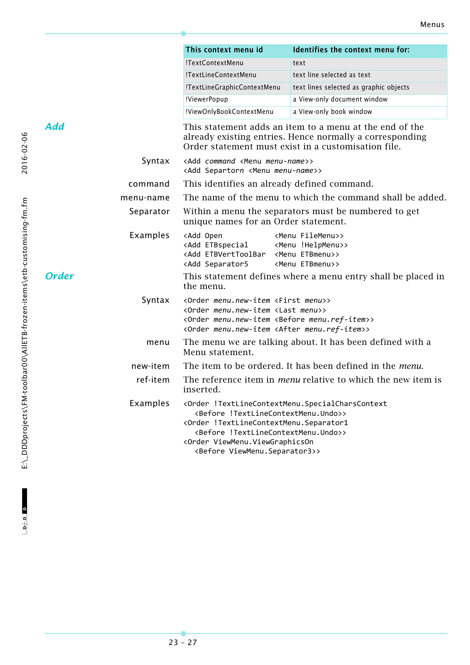<span id="page-26-1"></span><span id="page-26-0"></span>

|                       |           | This context menu id                                                                                                                                                                                                                                         | Identifies the context menu for:                                                                                                                                           |  |  |
|-----------------------|-----------|--------------------------------------------------------------------------------------------------------------------------------------------------------------------------------------------------------------------------------------------------------------|----------------------------------------------------------------------------------------------------------------------------------------------------------------------------|--|--|
|                       |           | !TextContextMenu                                                                                                                                                                                                                                             | text                                                                                                                                                                       |  |  |
|                       |           | !TextLineContextMenu                                                                                                                                                                                                                                         | text line selected as text                                                                                                                                                 |  |  |
|                       |           | !TextLineGraphicContextMenu                                                                                                                                                                                                                                  | text lines selected as graphic objects                                                                                                                                     |  |  |
|                       |           | !ViewerPopup                                                                                                                                                                                                                                                 | a View-only document window                                                                                                                                                |  |  |
|                       |           | !ViewOnlyBookContextMenu                                                                                                                                                                                                                                     | a View-only book window                                                                                                                                                    |  |  |
| Add                   |           |                                                                                                                                                                                                                                                              | This statement adds an item to a menu at the end of the<br>already existing entries. Hence normally a corresponding<br>Order statement must exist in a customisation file. |  |  |
|                       | Syntax    | <add <menu="" command="" menu-name="">&gt;<br/><add <menu="" menu-name="" separtorn="">&gt;</add></add>                                                                                                                                                      |                                                                                                                                                                            |  |  |
|                       | command   | This identifies an already defined command.                                                                                                                                                                                                                  |                                                                                                                                                                            |  |  |
|                       | menu-name | The name of the menu to which the command shall be added.                                                                                                                                                                                                    |                                                                                                                                                                            |  |  |
|                       | Separator | Within a menu the separators must be numbered to get<br>unique names for an Order statement.                                                                                                                                                                 |                                                                                                                                                                            |  |  |
|                       | Examples  | <add open<br=""><add !helpmenu="" <menu="" etbspecial="">&gt;<br/><add <menu="" etbmenu="" etbverttoolbar="">&gt;<br/><add separator5<="" td=""><td><menu filemenu="">&gt;<br/><menu etbmenu="">&gt;</menu></menu></td></add></add></add></add>              | <menu filemenu="">&gt;<br/><menu etbmenu="">&gt;</menu></menu>                                                                                                             |  |  |
| <b>Order</b>          |           | the menu.                                                                                                                                                                                                                                                    | This statement defines where a menu entry shall be placed in                                                                                                               |  |  |
|                       | Syntax    | <order <first="" menu="" menu.new-item="">&gt;<br/><order <last="" menu="" menu.new-item="">&gt;<br/><order <before="" menu.new-item="" menu.ref-item="">&gt;<br/><order <after="" menu.new-item="" menu.ref-item="">&gt;</order></order></order></order>    |                                                                                                                                                                            |  |  |
|                       | menu      | Menu statement.                                                                                                                                                                                                                                              | The menu we are talking about. It has been defined with a                                                                                                                  |  |  |
|                       | new-item  |                                                                                                                                                                                                                                                              | The item to be ordered. It has been defined in the <i>menu</i> .                                                                                                           |  |  |
| ref-item<br>inserted. |           | The reference item in <i>menu</i> relative to which the new item is                                                                                                                                                                                          |                                                                                                                                                                            |  |  |
|                       | Examples  | <before !textlinecontextmenu.undo="">&gt;<br/><order !textlinecontextmenu.separator1<br=""><before !textlinecontextmenu.undo="">&gt;<br/><order viewmenu.viewgraphicson<br=""><before viewmenu.separator3="">&gt;</before></order></before></order></before> | <order !textlinecontextmenu.specialcharscontext<="" td=""></order>                                                                                                         |  |  |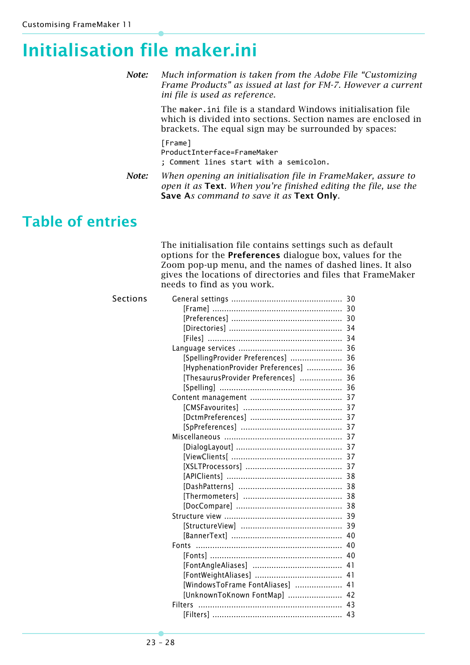# <span id="page-27-0"></span>**Initialisation file maker.ini**

*Note: Much information is taken from the Adobe File "Customizing Frame Products" as issued at last for FM-7. However a current ini file is used as reference.*

> The maker.ini file is a standard Windows initialisation file which is divided into sections. Section names are enclosed in brackets. The equal sign may be surrounded by spaces:

[Frame] ProductInterface=FrameMaker ; Comment lines start with a semicolon.

*Note: When opening an initialisation file in FrameMaker, assure to open it as* **Text***. When you're finished editing the file, use the*  **Save A***s command to save it as* **Text Only***.*

## **Table of entries**

The initialisation file contains settings such as default options for the **Preferences** dialogue box, values for the Zoom pop-up menu, and the names of dashed lines. It also gives the locations of directories and files that FrameMaker needs to find as you work.

| Sections |                                       |  |
|----------|---------------------------------------|--|
|          |                                       |  |
|          |                                       |  |
|          |                                       |  |
|          |                                       |  |
|          |                                       |  |
|          | [SpellingProvider Preferences]  36    |  |
|          | [HyphenationProvider Preferences]  36 |  |
|          | [ThesaurusProvider Preferences]  36   |  |
|          |                                       |  |
|          |                                       |  |
|          |                                       |  |
|          |                                       |  |
|          |                                       |  |
|          |                                       |  |
|          |                                       |  |
|          |                                       |  |
|          |                                       |  |
|          |                                       |  |
|          |                                       |  |
|          |                                       |  |
|          |                                       |  |
|          |                                       |  |
|          |                                       |  |
|          |                                       |  |
|          |                                       |  |
|          |                                       |  |
|          |                                       |  |
|          |                                       |  |
|          | [WindowsToFrame FontAliases]  41      |  |
|          | [UnknownToKnown FontMap]  42          |  |
|          | <b>Filters</b>                        |  |
|          |                                       |  |
|          |                                       |  |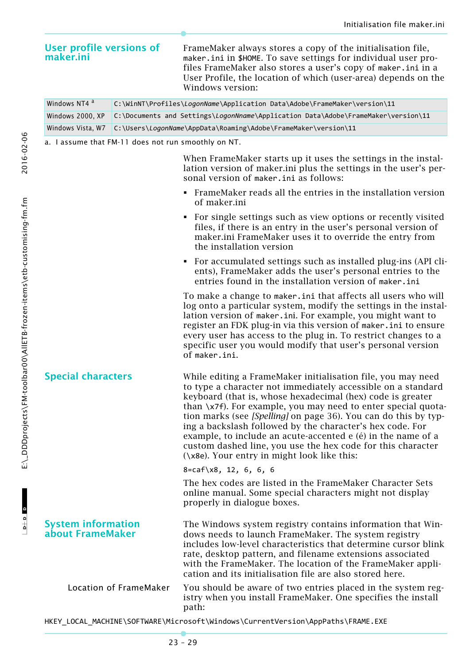FrameMaker always stores a copy of the initialisation file,

| maker.ini                                           |                                                                                   | maker.ini in \$HOME. To save settings for individual user pro-<br>files FrameMaker also stores a user's copy of maker.ini in a<br>User Profile, the location of which (user-area) depends on the<br>Windows version:                                                                                                                                                                                                                                                                                                                                                      |  |
|-----------------------------------------------------|-----------------------------------------------------------------------------------|---------------------------------------------------------------------------------------------------------------------------------------------------------------------------------------------------------------------------------------------------------------------------------------------------------------------------------------------------------------------------------------------------------------------------------------------------------------------------------------------------------------------------------------------------------------------------|--|
| Windows NT4 <sup>a</sup>                            | C:\WinNT\Profiles\LogonName\Application Data\Adobe\FrameMaker\version\11          |                                                                                                                                                                                                                                                                                                                                                                                                                                                                                                                                                                           |  |
| Windows 2000, XP                                    | C:\Documents and Settings\LogonNname\Application Data\Adobe\FrameMaker\version\11 |                                                                                                                                                                                                                                                                                                                                                                                                                                                                                                                                                                           |  |
| Windows Vista, W7                                   | C:\Users\LogonName\AppData\Roaming\Adobe\FrameMaker\version\11                    |                                                                                                                                                                                                                                                                                                                                                                                                                                                                                                                                                                           |  |
| a. I assume that FM-11 does not run smoothly on NT. |                                                                                   |                                                                                                                                                                                                                                                                                                                                                                                                                                                                                                                                                                           |  |
|                                                     |                                                                                   | When FrameMaker starts up it uses the settings in the instal-<br>lation version of maker.ini plus the settings in the user's per-<br>sonal version of maker.ini as follows:                                                                                                                                                                                                                                                                                                                                                                                               |  |
|                                                     |                                                                                   | • FrameMaker reads all the entries in the installation version<br>of maker.ini                                                                                                                                                                                                                                                                                                                                                                                                                                                                                            |  |
|                                                     |                                                                                   | • For single settings such as view options or recently visited<br>files, if there is an entry in the user's personal version of<br>maker.ini FrameMaker uses it to override the entry from<br>the installation version                                                                                                                                                                                                                                                                                                                                                    |  |
|                                                     |                                                                                   | • For accumulated settings such as installed plug-ins (API cli-<br>ents), FrameMaker adds the user's personal entries to the<br>entries found in the installation version of maker.ini                                                                                                                                                                                                                                                                                                                                                                                    |  |
|                                                     |                                                                                   | To make a change to maker. ini that affects all users who will<br>log onto a particular system, modify the settings in the instal-<br>lation version of maker.ini. For example, you might want to<br>register an FDK plug-in via this version of maker. ini to ensure<br>every user has access to the plug in. To restrict changes to a<br>specific user you would modify that user's personal version<br>of maker.ini.                                                                                                                                                   |  |
| <b>Special characters</b>                           |                                                                                   | While editing a FrameMaker initialisation file, you may need<br>to type a character not immediately accessible on a standard<br>keyboard (that is, whose hexadecimal (hex) code is greater<br>than \x7f). For example, you may need to enter special quota-<br>tion marks (see [Spelling] on page 36). You can do this by typ-<br>ing a backslash followed by the character's hex code. For<br>example, to include an acute-accented e (é) in the name of a<br>custom dashed line, you use the hex code for this character<br>(\x8e). Your entry in might look like this: |  |
|                                                     |                                                                                   | $8 = \text{caf}\x8, 12, 6, 6, 6$                                                                                                                                                                                                                                                                                                                                                                                                                                                                                                                                          |  |
|                                                     |                                                                                   | The hex codes are listed in the FrameMaker Character Sets<br>online manual. Some special characters might not display<br>properly in dialogue boxes.                                                                                                                                                                                                                                                                                                                                                                                                                      |  |
| <b>System information</b><br>about FrameMaker       |                                                                                   | The Windows system registry contains information that Win-<br>dows needs to launch FrameMaker. The system registry<br>includes low-level characteristics that determine cursor blink<br>rate, desktop pattern, and filename extensions associated<br>with the FrameMaker. The location of the FrameMaker appli-<br>cation and its initialisation file are also stored here.                                                                                                                                                                                               |  |
| Location of FrameMaker                              |                                                                                   | You should be aware of two entries placed in the system reg-<br>istry when you install FrameMaker. One specifies the install<br>path:                                                                                                                                                                                                                                                                                                                                                                                                                                     |  |
|                                                     |                                                                                   | HKEY_LOCAL_MACHINE\SOFTWARE\Microsoft\Windows\CurrentVersion\AppPaths\FRAME.EXE                                                                                                                                                                                                                                                                                                                                                                                                                                                                                           |  |

**User profile versions of**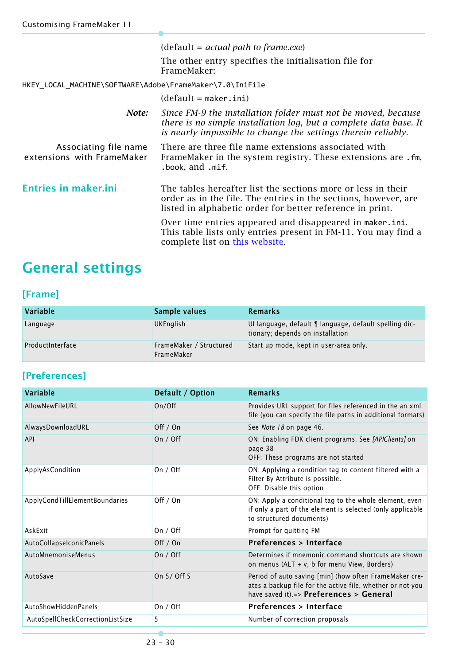|                                                          | $(detault = actual path to frame.exe)$                                                                                                                                                              |
|----------------------------------------------------------|-----------------------------------------------------------------------------------------------------------------------------------------------------------------------------------------------------|
|                                                          | The other entry specifies the initialisation file for<br>FrameMaker:                                                                                                                                |
| HKEY_LOCAL_MACHINE\SOFTWARE\Adobe\FrameMaker\7.0\IniFile |                                                                                                                                                                                                     |
|                                                          | $(detault = maker.ini)$                                                                                                                                                                             |
| Note:                                                    | Since FM-9 the installation folder must not be moved, because<br>there is no simple installation log, but a complete data base. It<br>is nearly impossible to change the settings therein reliably. |
| Associating file name<br>extensions with FrameMaker      | There are three file name extensions associated with<br>FrameMaker in the system registry. These extensions are .fm,<br>.book, and .mif.                                                            |
| <b>Entries in maker.ini</b>                              | The tables hereafter list the sections more or less in their<br>order as in the file. The entries in the sections, however, are<br>listed in alphabetic order for better reference in print.        |
|                                                          | Over time entries appeared and disappeared in maker.ini.<br>This table lists only entries present in FM-11. You may find a<br>complete list on this website.                                        |

# <span id="page-29-1"></span>**General settings**

### <span id="page-29-2"></span>**[Frame]**

| Variable         | Sample values                         | Remarks                                                                                    |
|------------------|---------------------------------------|--------------------------------------------------------------------------------------------|
| Language         | <b>UKEnglish</b>                      | UI language, default 1 language, default spelling dic-<br>tionary; depends on installation |
| ProductInterface | FrameMaker / Structured<br>FrameMaker | Start up mode, kept in user-area only.                                                     |

### <span id="page-29-0"></span>**[Preferences]**

| <b>Variable</b>                  | Default / Option | <b>Remarks</b>                                                                                                                                                  |
|----------------------------------|------------------|-----------------------------------------------------------------------------------------------------------------------------------------------------------------|
| AllowNewFileURL                  | On/Off           | Provides URL support for files referenced in the an xml<br>file (you can specify the file paths in additional formats)                                          |
| AlwaysDownloadURL                | Off / On         | See Note 18 on page 46.                                                                                                                                         |
| <b>API</b>                       | On $/$ Off       | ON: Enabling FDK client programs. See [APIClients] on<br>page 38<br>OFF: These programs are not started                                                         |
| ApplyAsCondition                 | On $/$ Off       | ON: Applying a condition tag to content filtered with a<br>Filter By Attribute is possible.<br>OFF: Disable this option                                         |
| ApplyCondTillElementBoundaries   | Off / On         | ON: Apply a conditional tag to the whole element, even<br>if only a part of the element is selected (only applicable<br>to structured documents)                |
| AskExit                          | On $/$ Off       | Prompt for quitting FM                                                                                                                                          |
| AutoCollapseIconicPanels         | Off / On         | Preferences > Interface                                                                                                                                         |
| AutoMnemoniseMenus               | On $/$ Off       | Determines if mnemonic command shortcuts are shown<br>on menus (ALT + v, b for menu View, Borders)                                                              |
| AutoSave                         | On 5/ Off 5      | Period of auto saving [min] (how often FrameMaker cre-<br>ates a backup file for the active file, whether or not you<br>have saved it).=> Preferences > General |
| AutoShowHiddenPanels             | On $/$ Off       | Preferences > Interface                                                                                                                                         |
| AutoSpellCheckCorrectionListSize | 5                | Number of correction proposals                                                                                                                                  |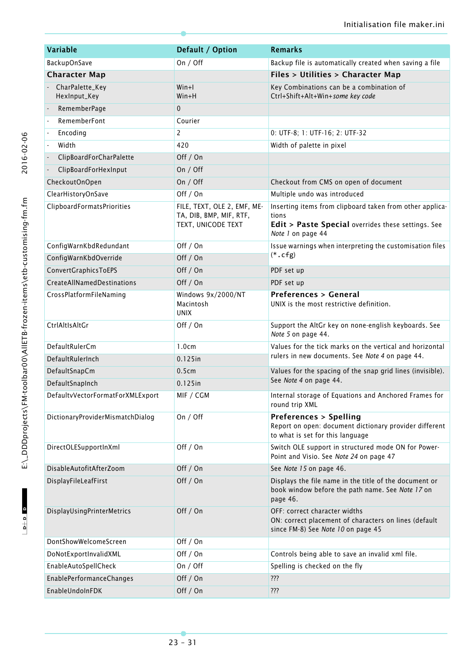| <b>Variable</b>                   | Default / Option                                                             | <b>Remarks</b>                                                                                                                               |
|-----------------------------------|------------------------------------------------------------------------------|----------------------------------------------------------------------------------------------------------------------------------------------|
| <b>BackupOnSave</b>               | On / Off                                                                     | Backup file is automatically created when saving a file                                                                                      |
| <b>Character Map</b>              |                                                                              | Files > Utilities > Character Map                                                                                                            |
| - CharPalette_Key<br>HexInput_Key | $W$ in+l<br>$W$ in+H                                                         | Key Combinations can be a combination of<br>Ctrl+Shift+Alt+Win+some key code                                                                 |
| RememberPage                      | $\mathbf 0$                                                                  |                                                                                                                                              |
| RememberFont                      | Courier                                                                      |                                                                                                                                              |
| Encoding                          | $\overline{2}$                                                               | 0: UTF-8; 1: UTF-16; 2: UTF-32                                                                                                               |
| Width<br>ä,                       | 420                                                                          | Width of palette in pixel                                                                                                                    |
| ClipBoardForCharPalette           | Off / On                                                                     |                                                                                                                                              |
| ClipBoardForHexInput              | On / Off                                                                     |                                                                                                                                              |
| CheckoutOnOpen                    | On $/$ Off                                                                   | Checkout from CMS on open of document                                                                                                        |
| ClearHistoryOnSave                | Off / On                                                                     | Multiple undo was introduced                                                                                                                 |
| <b>ClipboardFormatsPriorities</b> | FILE, TEXT, OLE 2, EMF, ME-<br>TA, DIB, BMP, MIF, RTF,<br>TEXT, UNICODE TEXT | Inserting items from clipboard taken from other applica-<br>tions<br>Edit > Paste Special overrides these settings. See<br>Note 1 on page 44 |
| ConfigWarnKbdRedundant            | Off / On                                                                     | Issue warnings when interpreting the customisation files                                                                                     |
| ConfigWarnKbdOverride             | Off / On                                                                     | $(*.cfg)$                                                                                                                                    |
| ConvertGraphicsToEPS              | Off / On                                                                     | PDF set up                                                                                                                                   |
| <b>CreateAllNamedDestinations</b> | Off / On                                                                     | PDF set up                                                                                                                                   |
| CrossPlatformFileNaming           | Windows 9x/2000/NT<br>Macintosh<br><b>UNIX</b>                               | <b>Preferences &gt; General</b><br>UNIX is the most restrictive definition.                                                                  |
| CtrlAltIsAltGr                    | Off / On                                                                     | Support the AltGr key on none-english keyboards. See<br>Note 5 on page 44.                                                                   |
| DefaultRulerCm                    | 1.0cm                                                                        | Values for the tick marks on the vertical and horizontal                                                                                     |
| DefaultRulerInch                  | $0.125$ in                                                                   | rulers in new documents. See Note 4 on page 44.                                                                                              |
| DefaultSnapCm                     | 0.5cm                                                                        | Values for the spacing of the snap grid lines (invisible).                                                                                   |
| DefaultSnapInch                   | 0.125in                                                                      | See Note 4 on page 44.                                                                                                                       |
| DefaultvVectorFormatForXMLExport  | MIF / CGM                                                                    | Internal storage of Equations and Anchored Frames for<br>round trip XML                                                                      |
| DictionaryProviderMismatchDialog  | On $/$ Off                                                                   | <b>Preferences &gt; Spelling</b><br>Report on open: document dictionary provider different<br>to what is set for this language               |
| DirectOLESupportInXml             | Off / On                                                                     | Switch OLE support in structured mode ON for Power-<br>Point and Visio. See Note 24 on page 47                                               |
| DisableAutofitAfterZoom           | Off / On                                                                     | See Note 15 on page 46.                                                                                                                      |
| DisplayFileLeafFirst              | Off / On                                                                     | Displays the file name in the title of the document or<br>book window before the path name. See Note 17 on<br>page 46.                       |
| DisplayUsingPrinterMetrics        | Off / On                                                                     | OFF: correct character widths<br>ON: correct placement of characters on lines (default<br>since FM-8) See Note 10 on page 45                 |
| DontShowWelcomeScreen             | Off / On                                                                     |                                                                                                                                              |
| DoNotExportInvalidXML             | Off / On                                                                     | Controls being able to save an invalid xml file.                                                                                             |
| EnableAutoSpellCheck              | On $/$ Off                                                                   | Spelling is checked on the fly                                                                                                               |
| <b>EnablePerformanceChanges</b>   | Off / On                                                                     | ???                                                                                                                                          |
| EnableUndoInFDK                   | Off / On                                                                     | ???                                                                                                                                          |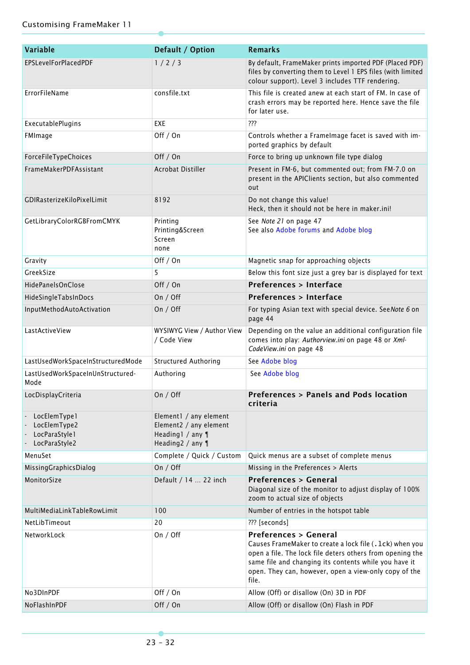| <b>Variable</b>                                                | Default / Option                                                                         | <b>Remarks</b>                                                                                                                                                                                                                                                                      |
|----------------------------------------------------------------|------------------------------------------------------------------------------------------|-------------------------------------------------------------------------------------------------------------------------------------------------------------------------------------------------------------------------------------------------------------------------------------|
| EPSLevelForPlacedPDF                                           | 1/2/3                                                                                    | By default, FrameMaker prints imported PDF (Placed PDF)<br>files by converting them to Level 1 EPS files (with limited<br>colour support). Level 3 includes TTF rendering.                                                                                                          |
| <b>ErrorFileName</b>                                           | consfile.txt                                                                             | This file is created anew at each start of FM. In case of<br>crash errors may be reported here. Hence save the file<br>for later use.                                                                                                                                               |
| ExecutablePlugins                                              | <b>EXE</b>                                                                               | ???                                                                                                                                                                                                                                                                                 |
| FMImage                                                        | Off / On                                                                                 | Controls whether a Framelmage facet is saved with im-<br>ported graphics by default                                                                                                                                                                                                 |
| ForceFileTypeChoices                                           | Off / On                                                                                 | Force to bring up unknown file type dialog                                                                                                                                                                                                                                          |
| FrameMakerPDFAssistant                                         | Acrobat Distiller                                                                        | Present in FM-6, but commented out; from FM-7.0 on<br>present in the APIClients section, but also commented<br>out                                                                                                                                                                  |
| GDIRasterizeKiloPixelLimit                                     | 8192                                                                                     | Do not change this value!<br>Heck, then it should not be here in maker.ini!                                                                                                                                                                                                         |
| GetLibraryColorRGBFromCMYK                                     | Printing<br>Printing&Screen<br>Screen<br>none                                            | See Note 21 on page 47<br>See also Adobe forums and Adobe blog                                                                                                                                                                                                                      |
| Gravity                                                        | Off / On                                                                                 | Magnetic snap for approaching objects                                                                                                                                                                                                                                               |
| GreekSize                                                      | 5                                                                                        | Below this font size just a grey bar is displayed for text                                                                                                                                                                                                                          |
| HidePanelsOnClose                                              | Off / On                                                                                 | <b>Preferences &gt; Interface</b>                                                                                                                                                                                                                                                   |
| HideSingleTabsInDocs                                           | On $/$ Off                                                                               | <b>Preferences &gt; Interface</b>                                                                                                                                                                                                                                                   |
| InputMethodAutoActivation                                      | On / Off                                                                                 | For typing Asian text with special device. SeeNote 6 on<br>page 44                                                                                                                                                                                                                  |
| LastActiveView                                                 | WYSIWYG View / Author View<br>/ Code View                                                | Depending on the value an additional configuration file<br>comes into play: Authorview.ini on page 48 or Xml-<br>CodeView.ini on page 48                                                                                                                                            |
| LastUsedWorkSpaceInStructuredMode                              | <b>Structured Authoring</b>                                                              | See Adobe blog                                                                                                                                                                                                                                                                      |
| LastUsedWorkSpaceInUnStructured-<br>Mode                       | Authoring                                                                                | See Adobe blog                                                                                                                                                                                                                                                                      |
| LocDisplayCriteria                                             | On / Off                                                                                 | Preferences > Panels and Pods location<br>criteria                                                                                                                                                                                                                                  |
| LocElemType1<br>LocElemType2<br>LocParaStyle1<br>LocParaStyle2 | Element1 / any element<br>Element2 / any element<br>Heading1 / any 1<br>Heading2 / any 1 |                                                                                                                                                                                                                                                                                     |
| MenuSet                                                        | Complete / Quick / Custom                                                                | Quick menus are a subset of complete menus                                                                                                                                                                                                                                          |
| MissingGraphicsDialog                                          | On / Off                                                                                 | Missing in the Preferences > Alerts                                                                                                                                                                                                                                                 |
| MonitorSize                                                    | Default / 14  22 inch                                                                    | <b>Preferences &gt; General</b><br>Diagonal size of the monitor to adjust display of 100%<br>zoom to actual size of objects                                                                                                                                                         |
| MultiMediaLinkTableRowLimit                                    | 100                                                                                      | Number of entries in the hotspot table                                                                                                                                                                                                                                              |
| NetLibTimeout                                                  | 20                                                                                       | ??? [seconds]                                                                                                                                                                                                                                                                       |
| NetworkLock                                                    | On $/$ Off                                                                               | <b>Preferences &gt; General</b><br>Causes FrameMaker to create a lock file (. 1ck) when you<br>open a file. The lock file deters others from opening the<br>same file and changing its contents while you have it<br>open. They can, however, open a view-only copy of the<br>file. |
| No3DInPDF                                                      | Off / On                                                                                 | Allow (Off) or disallow (On) 3D in PDF                                                                                                                                                                                                                                              |
| NoFlashInPDF                                                   | Off / On                                                                                 | Allow (Off) or disallow (On) Flash in PDF                                                                                                                                                                                                                                           |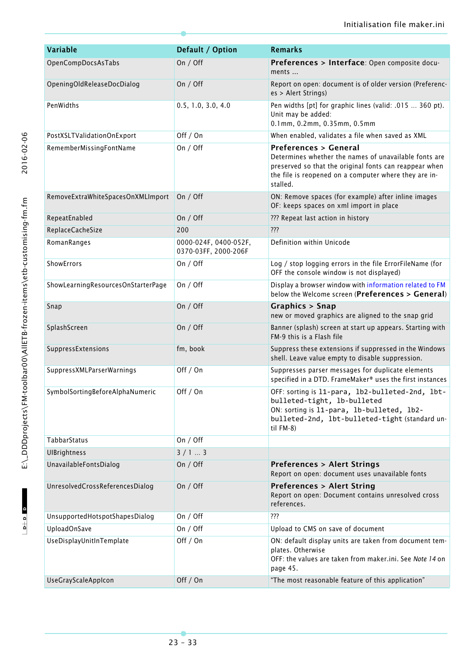| <b>Variable</b>                    | Default / Option                              | <b>Remarks</b>                                                                                                                                                                                                          |
|------------------------------------|-----------------------------------------------|-------------------------------------------------------------------------------------------------------------------------------------------------------------------------------------------------------------------------|
| OpenCompDocsAsTabs                 | On / Off                                      | Preferences > Interface: Open composite docu-<br>ments                                                                                                                                                                  |
| OpeningOldReleaseDocDialog         | On / Off                                      | Report on open: document is of older version (Preferenc-<br>es > Alert Strings)                                                                                                                                         |
| PenWidths                          | 0.5, 1.0, 3.0, 4.0                            | Pen widths [pt] for graphic lines (valid: .015  360 pt).<br>Unit may be added:<br>0.1mm, 0.2mm, 0.35mm, 0.5mm                                                                                                           |
| PostXSLTValidationOnExport         | Off / On                                      | When enabled, validates a file when saved as XML                                                                                                                                                                        |
| RememberMissingFontName            | On / Off                                      | <b>Preferences &gt; General</b><br>Determines whether the names of unavailable fonts are<br>preserved so that the original fonts can reappear when<br>the file is reopened on a computer where they are in-<br>stalled. |
| RemoveExtraWhiteSpacesOnXMLImport  | On / Off                                      | ON: Remove spaces (for example) after inline images<br>OF: keeps spaces on xml import in place                                                                                                                          |
| RepeatEnabled                      | On / Off                                      | ??? Repeat last action in history                                                                                                                                                                                       |
| ReplaceCacheSize                   | 200                                           | ???                                                                                                                                                                                                                     |
| RomanRanges                        | 0000-024F, 0400-052F,<br>0370-03FF, 2000-206F | Definition within Unicode                                                                                                                                                                                               |
| ShowErrors                         | On $/$ Off                                    | Log / stop logging errors in the file ErrorFileName (for<br>OFF the console window is not displayed)                                                                                                                    |
| ShowLearningResourcesOnStarterPage | On $/$ Off                                    | Display a browser window with information related to FM<br>below the Welcome screen (Preferences > General)                                                                                                             |
| Snap                               | On $/$ Off                                    | Graphics > Snap<br>new or moved graphics are aligned to the snap grid                                                                                                                                                   |
| SplashScreen                       | On $/$ Off                                    | Banner (splash) screen at start up appears. Starting with<br>FM-9 this is a Flash file                                                                                                                                  |
| SuppressExtensions                 | fm, book                                      | Suppress these extensions if suppressed in the Windows<br>shell. Leave value empty to disable suppression.                                                                                                              |
| <b>SuppressXMLParserWarnings</b>   | Off / On                                      | Suppresses parser messages for duplicate elements<br>specified in a DTD. FrameMaker® uses the first instances                                                                                                           |
| SymbolSortingBeforeAlphaNumeric    | Off / On                                      | OFF: sorting is 11-para, 1b2-bulleted-2nd, 1bt-<br>bulleted-tight, lb-bulleted<br>ON: sorting is 11-para, 1b-bulleted, 1b2-<br>bulleted-2nd, lbt-bulleted-tight (standard un-<br>til FM-8)                              |
| TabbarStatus                       | On / Off                                      |                                                                                                                                                                                                                         |
| <b>UIBrightness</b>                | 3/13                                          |                                                                                                                                                                                                                         |
| UnavailableFontsDialog             | On / Off                                      | <b>Preferences &gt; Alert Strings</b><br>Report on open: document uses unavailable fonts                                                                                                                                |
| UnresolvedCrossReferencesDialog    | On $/$ Off                                    | <b>Preferences &gt; Alert String</b><br>Report on open: Document contains unresolved cross<br>references.                                                                                                               |
| UnsupportedHotspotShapesDialog     | On $/$ Off                                    | ???                                                                                                                                                                                                                     |
| UploadOnSave                       | On $/$ Off                                    | Upload to CMS on save of document                                                                                                                                                                                       |
| UseDisplayUnitInTemplate           | Off / On                                      | ON: default display units are taken from document tem-<br>plates. Otherwise<br>OFF: the values are taken from maker.ini. See Note 14 on<br>page 45.                                                                     |
| UseGrayScaleAppIcon                | Off / On                                      | "The most reasonable feature of this application"                                                                                                                                                                       |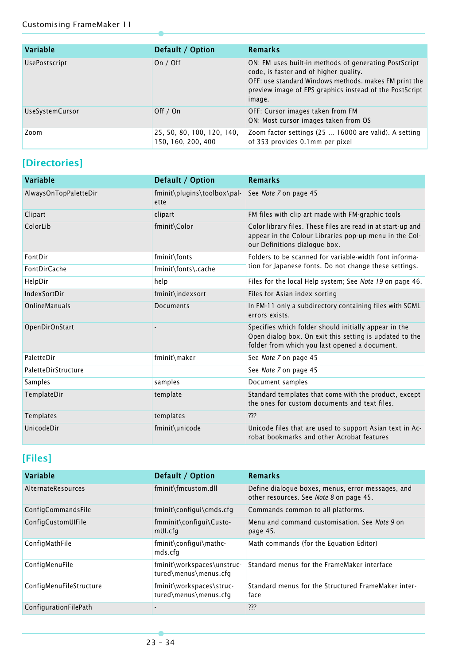| <b>Variable</b>        | Default / Option                                 | Remarks                                                                                                                                                                                                                       |
|------------------------|--------------------------------------------------|-------------------------------------------------------------------------------------------------------------------------------------------------------------------------------------------------------------------------------|
| <b>UsePostscript</b>   | On $/$ Off                                       | ON: FM uses built in methods of generating PostScript<br>code, is faster and of higher quality.<br>OFF: use standard Windows methods. makes FM print the<br>preview image of EPS graphics instead of the PostScript<br>image. |
| <b>UseSystemCursor</b> | Off $/$ On                                       | OFF: Cursor images taken from FM<br>ON: Most cursor images taken from OS                                                                                                                                                      |
| Zoom                   | 25, 50, 80, 100, 120, 140,<br>150, 160, 200, 400 | Zoom factor settings (25  16000 are valid). A setting<br>of 353 provides 0.1mm per pixel                                                                                                                                      |

### <span id="page-33-1"></span>**[Directories]**

| <b>Variable</b>       | Default / Option                                                                      | <b>Remarks</b>                                                                                                                                                    |
|-----------------------|---------------------------------------------------------------------------------------|-------------------------------------------------------------------------------------------------------------------------------------------------------------------|
| AlwaysOnTopPaletteDir | $fminit\left\langle \frac{\text{toolbox\pa}}{1 - \text{total}} \right\rangle$<br>ette | See Note 7 on page 45                                                                                                                                             |
| Clipart               | clipart                                                                               | FM files with clip art made with FM-graphic tools                                                                                                                 |
| ColorLib              | fminit\Color                                                                          | Color library files. These files are read in at start-up and<br>appear in the Colour Libraries pop-up menu in the Col-<br>our Definitions dialogue box.           |
| FontDir               | fminit\fonts                                                                          | Folders to be scanned for variable-width font informa-                                                                                                            |
| FontDirCache          | fminit\fonts\.cache                                                                   | tion for Japanese fonts. Do not change these settings.                                                                                                            |
| HelpDir               | help                                                                                  | Files for the local Help system; See Note 19 on page 46.                                                                                                          |
| IndexSortDir          | fminit\indexsort                                                                      | Files for Asian index sorting                                                                                                                                     |
| OnlineManuals         | Documents                                                                             | In FM-11 only a subdirectory containing files with SGML<br>errors exists.                                                                                         |
| OpenDirOnStart        |                                                                                       | Specifies which folder should initially appear in the<br>Open dialog box. On exit this setting is updated to the<br>folder from which you last opened a document. |
| PaletteDir            | fminit\maker                                                                          | See Note 7 on page 45                                                                                                                                             |
| PaletteDirStructure   |                                                                                       | See Note 7 on page 45                                                                                                                                             |
| Samples               | samples                                                                               | Document samples                                                                                                                                                  |
| TemplateDir           | template                                                                              | Standard templates that come with the product, except<br>the ones for custom documents and text files.                                                            |
| <b>Templates</b>      | templates                                                                             | ???                                                                                                                                                               |
| UnicodeDir            | fminit\unicode                                                                        | Unicode files that are used to support Asian text in Ac-<br>robat bookmarks and other Acrobat features                                                            |

### <span id="page-33-0"></span>**[Files]**

| Variable                | Default / Option                                    | <b>Remarks</b>                                                                               |
|-------------------------|-----------------------------------------------------|----------------------------------------------------------------------------------------------|
| AlternateResources      | fminit\fmcustom.dll                                 | Define dialogue boxes, menus, error messages, and<br>other resources. See Note 8 on page 45. |
| ConfigCommandsFile      | fminit\configui\cmds.cfg                            | Commands common to all platforms.                                                            |
| ConfigCustomUlFile      | fmminit\configui\Custo-<br>mUI.cfg                  | Menu and command customisation. See Note 9 on<br>page 45.                                    |
| ConfigMathFile          | fminit\configui\mathc-<br>mds.cfg                   | Math commands (for the Equation Editor)                                                      |
| ConfigMenuFile          | fminit\workspaces\unstruc-<br>tured\menus\menus.cfg | Standard menus for the FrameMaker interface                                                  |
| ConfigMenuFileStructure | fminit\workspaces\struc-<br>tured\menus\menus.cfg   | Standard menus for the Structured FrameMaker inter-<br>face                                  |
| ConfigurationFilePath   |                                                     | ???                                                                                          |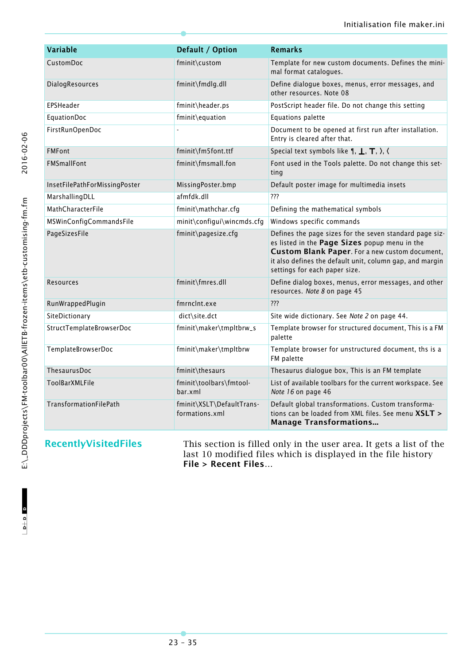| Variable                      | Default / Option                            | <b>Remarks</b>                                                                                                                                                                                                                                          |
|-------------------------------|---------------------------------------------|---------------------------------------------------------------------------------------------------------------------------------------------------------------------------------------------------------------------------------------------------------|
| CustomDoc                     | fminit\custom                               | Template for new custom documents. Defines the mini-<br>mal format catalogues.                                                                                                                                                                          |
| DialogResources               | fminit\fmdlg.dll                            | Define dialogue boxes, menus, error messages, and<br>other resources. Note 08                                                                                                                                                                           |
| EPSHeader                     | fminit\header.ps                            | PostScript header file. Do not change this setting                                                                                                                                                                                                      |
| EquationDoc                   | fminit\equation                             | Equations palette                                                                                                                                                                                                                                       |
| FirstRunOpenDoc               |                                             | Document to be opened at first run after installation.<br>Entry is cleared after that.                                                                                                                                                                  |
| <b>FMFont</b>                 | fminit\fm5font.ttf                          | Special text symbols like $\P$ , $\P$ , $\P$ , $\P$ , $\rangle$ , $\langle$                                                                                                                                                                             |
| <b>FMSmallFont</b>            | fminit\fmsmall.fon                          | Font used in the Tools palette. Do not change this set-<br>ting                                                                                                                                                                                         |
| InsetFilePathForMissingPoster | MissingPoster.bmp                           | Default poster image for multimedia insets                                                                                                                                                                                                              |
| MarshallingDLL                | afmfdk.dll                                  | ???                                                                                                                                                                                                                                                     |
| MathCharacterFile             | fminit\mathchar.cfg                         | Defining the mathematical symbols                                                                                                                                                                                                                       |
| MSWinConfigCommandsFile       | minit\configui\wincmds.cfg                  | Windows specific commands                                                                                                                                                                                                                               |
| PageSizesFile                 | fminit\pagesize.cfg                         | Defines the page sizes for the seven standard page siz-<br>es listed in the Page Sizes popup menu in the<br>Custom Blank Paper. For a new custom document,<br>it also defines the default unit, column gap, and margin<br>settings for each paper size. |
| Resources                     | fminit\fmres.dll                            | Define dialog boxes, menus, error messages, and other<br>resources. Note 8 on page 45                                                                                                                                                                   |
| RunWrappedPlugin              | fmrnclnt.exe                                | ???                                                                                                                                                                                                                                                     |
| SiteDictionary                | dict\site.dct                               | Site wide dictionary. See Note 2 on page 44.                                                                                                                                                                                                            |
| StructTemplateBrowserDoc      | fminit\maker\tmpltbrw_s                     | Template browser for structured document, This is a FM<br>palette                                                                                                                                                                                       |
| TemplateBrowserDoc            | fminit\maker\tmpltbrw                       | Template browser for unstructured document, ths is a<br>FM palette                                                                                                                                                                                      |
| <b>ThesaurusDoc</b>           | fminit\thesaurs                             | Thesaurus dialogue box, This is an FM template                                                                                                                                                                                                          |
| <b>ToolBarXMLFile</b>         | fminit\toolbars\fmtool-<br>bar.xml          | List of available toolbars for the current workspace. See<br>Note 16 on page 46                                                                                                                                                                         |
| TransformationFilePath        | fminit\XSLT\DefaultTrans-<br>formations.xml | Default global transformations. Custom transforma-<br>tions can be loaded from XML files. See menu XSLT ><br><b>Manage Transformations</b>                                                                                                              |

**RecentlyVisitedFiles** This section is filled only in the user area. It gets a list of the last 10 modified files which is displayed in the file history **File > Recent Files…**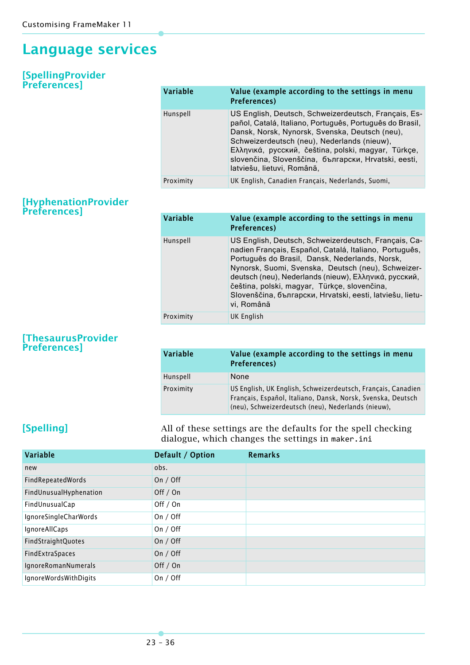## <span id="page-35-0"></span>**Language services**

#### <span id="page-35-1"></span>**[SpellingProvider Preferences]**

| Variable  | Value (example according to the settings in menu<br><b>Preferences</b> )                                                                                                                                                                                                                                                                                       |
|-----------|----------------------------------------------------------------------------------------------------------------------------------------------------------------------------------------------------------------------------------------------------------------------------------------------------------------------------------------------------------------|
| Hunspell  | US English, Deutsch, Schweizerdeutsch, Français, Es-<br>pañol, Catalá, Italiano, Português, Português do Brasil,<br>Dansk, Norsk, Nynorsk, Svenska, Deutsch (neu),<br>Schweizerdeutsch (neu), Nederlands (nieuw),<br>Ελληνικά, русский, čeština, polski, magyar, Türkçe,<br>slovenčina, Slovenščina, български, Hrvatski, eesti,<br>latviešu, lietuvi, Română, |
| Proximity | UK English, Canadien Français, Nederlands, Suomi,                                                                                                                                                                                                                                                                                                              |

#### <span id="page-35-2"></span>**[HyphenationProvider Preferences]**

| <b>Variable</b> | Value (example according to the settings in menu<br><b>Preferences</b> )                                                                                                                                                                                                                                                                                                                                   |
|-----------------|------------------------------------------------------------------------------------------------------------------------------------------------------------------------------------------------------------------------------------------------------------------------------------------------------------------------------------------------------------------------------------------------------------|
| Hunspell        | US English, Deutsch, Schweizerdeutsch, Français, Ca-<br>nadien Français, Español, Catalá, Italiano, Português,<br>Português do Brasil, Dansk, Nederlands, Norsk,<br>Nynorsk, Suomi, Svenska, Deutsch (neu), Schweizer-<br>deutsch (neu), Nederlands (nieuw), Ελληνικά, русский,<br>čeština, polski, magyar, Türkçe, slovenčina,<br>Slovenščina, български, Hrvatski, eesti, latviešu, lietu-<br>vi, Română |
| Proximity       | <b>UK English</b>                                                                                                                                                                                                                                                                                                                                                                                          |

#### <span id="page-35-3"></span>**[ThesaurusProvider Preferences]**

| Variable  | Value (example according to the settings in menu<br><b>Preferences</b> )                                                                                                          |
|-----------|-----------------------------------------------------------------------------------------------------------------------------------------------------------------------------------|
| Hunspell  | None                                                                                                                                                                              |
| Proximity | US English, UK English, Schweizerdeutsch, Français, Canadien<br>Français, Español, Italiano, Dansk, Norsk, Svenska, Deutsch<br>(neu), Schweizerdeutsch (neu), Nederlands (nieuw), |

<span id="page-35-4"></span>**[Spelling]** All of these settings are the defaults for the spell checking dialogue, which changes the settings in maker.ini

| Default / Option | <b>Remarks</b> |
|------------------|----------------|
| obs.             |                |
| On $/$ Off       |                |
| Off / On         |                |
| Off $/$ On       |                |
| On $/$ Off       |                |
| On $/$ Off       |                |
| On $/$ Off       |                |
| On $/$ Off       |                |
| Off $/$ On       |                |
| On $/$ Off       |                |
|                  |                |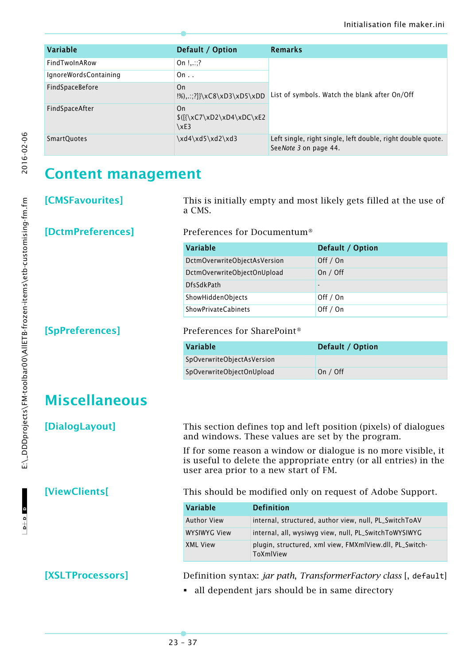| <b>Variable</b>       | Default / Option                                 | <b>Remarks</b>                                                                       |
|-----------------------|--------------------------------------------------|--------------------------------------------------------------------------------------|
| FindTwoInARow         | On $!?$                                          |                                                                                      |
| IgnoreWordsContaining | On.                                              |                                                                                      |
| FindSpaceBefore       | On.<br>$\{1\},\ldots;7\}$ \xC8\xD3\xD5\xDD       | List of symbols. Watch the blank after On/Off                                        |
| FindSpaceAfter        | On.<br>$\{( {\xC7\xD2\xD4\xDC\xE2}$<br>$\chi$ E3 |                                                                                      |
| SmartQuotes           | \xd4\xd5\xd2\xd3                                 | Left single, right single, left double, right double quote.<br>SeeNote 3 on page 44. |

2016-02-06

## <span id="page-36-0"></span>**Content management**

<span id="page-36-1"></span>**[CMSFavourites]** This is initially empty and most likely gets filled at the use of a CMS.

#### <span id="page-36-2"></span>**[DctmPreferences]** Preferences for Documentum®

| <b>Variable</b>              | Default / Option         |
|------------------------------|--------------------------|
| DctmOverwriteObjectAsVersion | Off $/$ On               |
| DctmOverwriteObjectOnUpload  | On / Off                 |
| <b>DfsSdkPath</b>            | $\overline{\phantom{a}}$ |
| ShowHiddenObjects            | Off / On                 |
| <b>ShowPrivateCabinets</b>   | Off / On                 |

#### <span id="page-36-3"></span>**[SpPreferences]** Preferences for SharePoint®

| Variable                   | Default / Option |
|----------------------------|------------------|
| SpOverwriteObjectAsVersion |                  |
| SpOverwriteObjectOnUpload  | On / Off         |

## <span id="page-36-4"></span>**Miscellaneous**

<span id="page-36-5"></span>**[DialogLayout]** This section defines top and left position (pixels) of dialogues and windows. These values are set by the program.

> If for some reason a window or dialogue is no more visible, it is useful to delete the appropriate entry (or all entries) in the user area prior to a new start of FM.

<span id="page-36-6"></span>**[ViewClients[** This should be modified only on request of Adobe Support.

| Variable     | <b>Definition</b>                                                    |
|--------------|----------------------------------------------------------------------|
| Author View  | internal, structured, author view, null, PL_SwitchToAV               |
| WYSIWYG View | internal, all, wysiwyg view, null, PL_SwitchToWYSIWYG                |
| XML View     | plugin, structured, xml view, FMXmlView.dll, PL_Switch-<br>ToXmlView |

#### <span id="page-36-7"></span>**[XSLTProcessors]** Definition syntax: *jar path*, *TransformerFactory class* [, default]

all dependent jars should be in same directory

 $D + D$  D

 $\begin{array}{c|c|c|c|c} \hline \multicolumn{3}{c|}{\mathbf{b}+\mathbf{b}} & \multicolumn{3}{c|}{\mathbf{b}} \end{array}$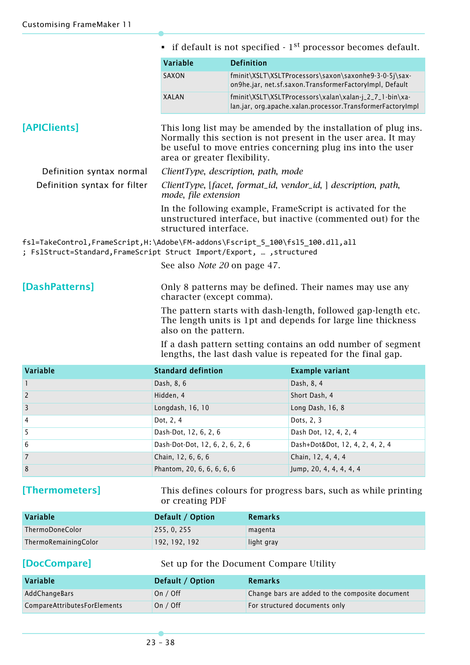<span id="page-37-0"></span>

|                                                                                                                                                        | • if default is not specified $-1st$ processor becomes default.                                                                                                                                                                                |                                                                                                                      |  |
|--------------------------------------------------------------------------------------------------------------------------------------------------------|------------------------------------------------------------------------------------------------------------------------------------------------------------------------------------------------------------------------------------------------|----------------------------------------------------------------------------------------------------------------------|--|
|                                                                                                                                                        | Variable                                                                                                                                                                                                                                       | <b>Definition</b>                                                                                                    |  |
|                                                                                                                                                        | SAXON                                                                                                                                                                                                                                          | fminit\XSLT\XSLTProcessors\saxon\saxonhe9-3-0-5j\sax-<br>on9he.jar, net.sf.saxon.TransformerFactoryImpl, Default     |  |
|                                                                                                                                                        | <b>XALAN</b>                                                                                                                                                                                                                                   | fminit\XSLT\XSLTProcessors\xalan\xalan-j_2_7_1-bin\xa-<br>lan.jar, org.apache.xalan.processor.TransformerFactoryImpl |  |
| [APIClients]                                                                                                                                           | This long list may be amended by the installation of plug ins.<br>Normally this section is not present in the user area. It may<br>be useful to move entries concerning plug ins into the user<br>area or greater flexibility.                 |                                                                                                                      |  |
| Definition syntax normal                                                                                                                               | ClientType, description, path, mode                                                                                                                                                                                                            |                                                                                                                      |  |
| Definition syntax for filter                                                                                                                           | ClientType, [facet, format_id, vendor_id, ] description, path,<br>mode, file extension<br>In the following example, Frame Script is activated for the<br>unstructured interface, but inactive (commented out) for the<br>structured interface. |                                                                                                                      |  |
|                                                                                                                                                        |                                                                                                                                                                                                                                                |                                                                                                                      |  |
| fs1=TakeControl,FrameScript,H:\Adobe\FM-addons\Fscript_5_100\fs15_100.dll,all<br>; FslStruct=Standard, FrameScript Struct Import/Export,  , structured |                                                                                                                                                                                                                                                |                                                                                                                      |  |
|                                                                                                                                                        | See also <i>Note 20</i> on page 47.                                                                                                                                                                                                            |                                                                                                                      |  |
| [DashPatterns]                                                                                                                                         | Only 8 patterns may be defined. Their names may use any<br>character (except comma).                                                                                                                                                           |                                                                                                                      |  |

The pattern starts with dash-length, followed gap-length etc. The length units is 1pt and depends for large line thickness also on the pattern.

If a dash pattern setting contains an odd number of segment lengths, the last dash value is repeated for the final gap.

<span id="page-37-1"></span>

| Variable       | <b>Standard defintion</b>       | <b>Example variant</b>       |
|----------------|---------------------------------|------------------------------|
|                | Dash, 8, 6                      | Dash, 8, 4                   |
| $\overline{2}$ | Hidden, 4                       | Short Dash, 4                |
| $\overline{3}$ | Longdash, 16, 10                | Long Dash, 16, 8             |
| $\overline{4}$ | Dot, 2, 4                       | Dots, 2, 3                   |
| $\overline{5}$ | Dash-Dot, 12, 6, 2, 6           | Dash Dot, 12, 4, 2, 4        |
| 6              | Dash-Dot-Dot, 12, 6, 2, 6, 2, 6 | Dash+Dot¨, 12, 4, 2, 4, 2, 4 |
| $\overline{7}$ | Chain, 12, 6, 6, 6              | Chain, 12, 4, 4, 4           |
| 8              | Phantom, 20, 6, 6, 6, 6, 6      | Jump, 20, 4, 4, 4, 4, 4      |

<span id="page-37-2"></span>**[Thermometers]** This defines colours for progress bars, such as while printing or creating PDF

| Variable             | Default / Option | Remarks    |
|----------------------|------------------|------------|
| ThermoDoneColor      | 255, 0, 255      | magenta    |
| ThermoRemainingColor | 192, 192, 192    | light gray |

<span id="page-37-3"></span>**[DocCompare]** Set up for the Document Compare Utility

| Variable                            | Default / Option | Remarks                                         |
|-------------------------------------|------------------|-------------------------------------------------|
| AddChangeBars                       | On $/$ Off       | Change bars are added to the composite document |
| <b>CompareAttributesForElements</b> | On $/$ Off       | For structured documents only                   |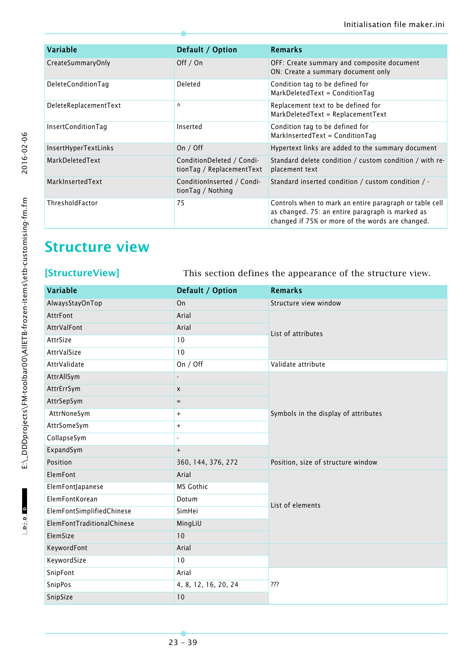| Variable               | Default / Option                                       | <b>Remarks</b>                                                                                                                                                  |
|------------------------|--------------------------------------------------------|-----------------------------------------------------------------------------------------------------------------------------------------------------------------|
| CreateSummaryOnly      | Off / On                                               | OFF: Create summary and composite document<br>ON: Create a summary document only                                                                                |
| DeleteConditionTag     | Deleted                                                | Condition tag to be defined for<br>MarkDeletedText = ConditionTag                                                                                               |
| DeleteReplacementText  | ٨                                                      | Replacement text to be defined for<br>$MarkDeletedText = ReplacementText$                                                                                       |
| InsertConditionTag     | Inserted                                               | Condition tag to be defined for<br>MarkInsertedText = ConditionTag                                                                                              |
| InsertHyperTextLinks   | On $/$ Off                                             | Hypertext links are added to the summary document                                                                                                               |
| MarkDeletedText        | ConditionDeleted / Condi-<br>tionTag / ReplacementText | Standard delete condition / custom condition / with re-<br>placement text                                                                                       |
| MarkInsertedText       | ConditionInserted / Condi-<br>tionTag / Nothing        | Standard inserted condition / custom condition $/$ -                                                                                                            |
| <b>ThresholdFactor</b> | 75                                                     | Controls when to mark an entire paragraph or table cell<br>as changed. 75: an entire paragraph is marked as<br>changed if 75% or more of the words are changed. |

# <span id="page-38-0"></span>**Structure view**

<span id="page-38-1"></span>**[StructureView]** This section defines the appearance of the structure view.

| Variable                   | Default / Option     | <b>Remarks</b>                       |  |
|----------------------------|----------------------|--------------------------------------|--|
| AlwaysStayOnTop            | On                   | Structure view window                |  |
| AttrFont                   | Arial                |                                      |  |
| AttrValFont                | Arial                | List of attributes                   |  |
| AttrSize                   | 10                   |                                      |  |
| AttrValSize                | 10                   |                                      |  |
| AttrValidate               | On / Off             | Validate attribute                   |  |
| AttrAllSym                 |                      |                                      |  |
| AttrErrSym                 | X                    |                                      |  |
| AttrSepSym                 | $=$                  |                                      |  |
| AttrNoneSym                | $^{+}$               | Symbols in the display of attributes |  |
| AttrSomeSym                | $^{+}$               |                                      |  |
| CollapseSym                | ä,                   |                                      |  |
| ExpandSym                  | $^{+}$               |                                      |  |
| Position                   | 360, 144, 376, 272   | Position, size of structure window   |  |
| ElemFont                   | Arial                |                                      |  |
| ElemFontJapanese           | MS Gothic            |                                      |  |
| ElemFontKorean             | Dotum                | List of elements                     |  |
| ElemFontSimplifiedChinese  | SimHei               |                                      |  |
| ElemFontTraditionalChinese | MingLiU              |                                      |  |
| ElemSize                   | 10                   |                                      |  |
| KeywordFont                | Arial                |                                      |  |
| KeywordSize                | 10                   |                                      |  |
| SnipFont                   | Arial                |                                      |  |
| SnipPos                    | 4, 8, 12, 16, 20, 24 | ???                                  |  |
| SnipSize                   | 10                   |                                      |  |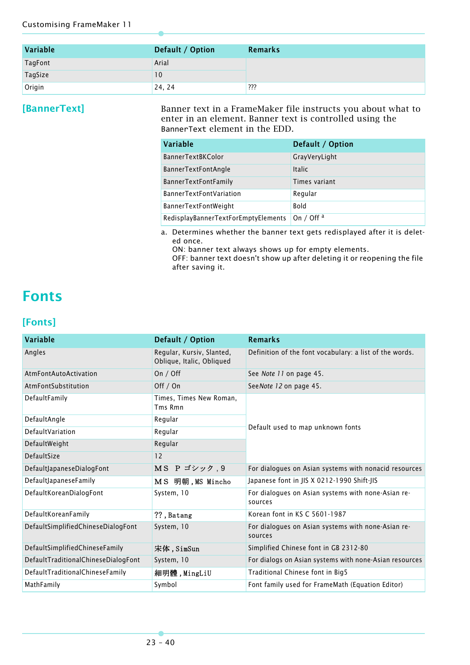| Variable       | Default / Option | Remarks |
|----------------|------------------|---------|
| <b>TagFont</b> | Arial            |         |
| TagSize        | 10               |         |
| Origin         | 24, 24           | ???     |

<span id="page-39-0"></span>**[BannerText]** Banner text in a FrameMaker file instructs you about what to enter in an element. Banner text is controlled using the BannerText element in the EDD.

| Variable                            | Default / Option      |
|-------------------------------------|-----------------------|
| <b>BannerTextBKColor</b>            | GrayVeryLight         |
| <b>BannerTextFontAngle</b>          | <b>Italic</b>         |
| <b>BannerTextFontFamily</b>         | Times variant         |
| <b>BannerTextFontVariation</b>      | Regular               |
| <b>BannerTextFontWeight</b>         | <b>Bold</b>           |
| RedisplayBannerTextForEmptyElements | On / Off <sup>a</sup> |

a. Determines whether the banner text gets redisplayed after it is deleted once.

ON: banner text always shows up for empty elements.

OFF: banner text doesn't show up after deleting it or reopening the file after saving it.

## <span id="page-39-1"></span>**Fonts**

#### <span id="page-39-2"></span>**[Fonts]**

| Variable                            | Default / Option                                       | <b>Remarks</b>                                                |  |
|-------------------------------------|--------------------------------------------------------|---------------------------------------------------------------|--|
| Angles                              | Regular, Kursiv, Slanted,<br>Oblique, Italic, Obliqued | Definition of the font vocabulary: a list of the words.       |  |
| AtmFontAutoActivation               | On $/$ Off                                             | See Note 11 on page 45.                                       |  |
| AtmFontSubstitution                 | Off / On                                               | SeeNote 12 on page 45.                                        |  |
| DefaultFamily                       | Times, Times New Roman,<br>Tms Rmn                     |                                                               |  |
| DefaultAngle                        | Regular                                                |                                                               |  |
| DefaultVariation                    | Regular                                                | Default used to map unknown fonts                             |  |
| DefaultWeight                       | Regular                                                |                                                               |  |
| DefaultSize                         | 12                                                     |                                                               |  |
| DefaultJapaneseDialogFont           | MS P ゴシック, 9                                           | For dialogues on Asian systems with nonacid resources         |  |
| DefaultJapaneseFamily               | MS 明朝, MS Mincho                                       | Japanese font in JIS X 0212-1990 Shift-JIS                    |  |
| DefaultKoreanDialogFont             | System, 10                                             | For dialogues on Asian systems with none-Asian re-<br>sources |  |
| DefaultKoreanFamily                 | ??, Batang                                             | Korean font in KS C 5601-1987                                 |  |
| DefaultSimplifiedChineseDialogFont  | System, 10                                             | For dialogues on Asian systems with none-Asian re-<br>sources |  |
| DefaultSimplifiedChineseFamily      | 宋体, SimSun                                             | Simplified Chinese font in GB 2312-80                         |  |
| DefaultTraditionalChineseDialogFont | System, 10                                             | For dialogs on Asian systems with none-Asian resources        |  |
| DefaultTraditionalChineseFamily     | 細明體, MingLiU                                           | Traditional Chinese font in Big5                              |  |
| MathFamily                          | Symbol                                                 | Font family used for FrameMath (Equation Editor)              |  |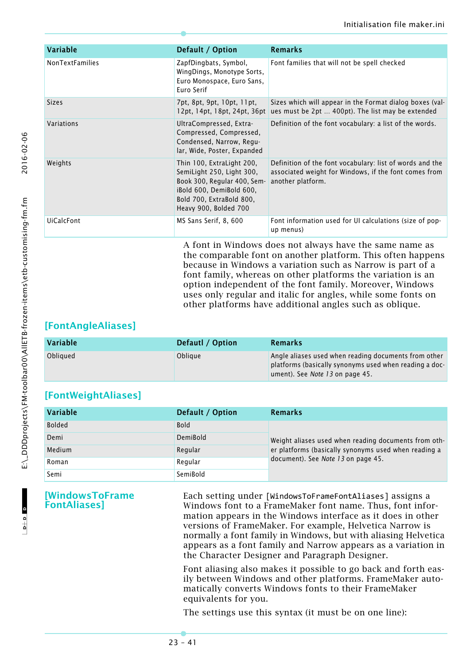| Variable               | Default / Option                                                                                                                                                       | <b>Remarks</b>                                                                                                                         |
|------------------------|------------------------------------------------------------------------------------------------------------------------------------------------------------------------|----------------------------------------------------------------------------------------------------------------------------------------|
| <b>NonTextFamilies</b> | ZapfDingbats, Symbol,<br>WingDings, Monotype Sorts,<br>Euro Monospace, Euro Sans,<br>Euro Serif                                                                        | Font families that will not be spell checked                                                                                           |
| <b>Sizes</b>           | 7pt, 8pt, 9pt, 10pt, 11pt,<br>12pt, 14pt, 18pt, 24pt, 36pt                                                                                                             | Sizes which will appear in the Format dialog boxes (val-<br>ues must be 2pt  400pt). The list may be extended                          |
| Variations             | UltraCompressed, Extra-<br>Compressed, Compressed,<br>Condensed, Narrow, Regu-<br>lar, Wide, Poster, Expanded                                                          | Definition of the font vocabulary: a list of the words.                                                                                |
| Weights                | Thin 100, ExtraLight 200,<br>SemiLight 250, Light 300,<br>Book 300, Regular 400, Sem-<br>iBold 600, DemiBold 600,<br>Bold 700, ExtraBold 800,<br>Heavy 900, Bolded 700 | Definition of the font vocabulary: list of words and the<br>associated weight for Windows, if the font comes from<br>another platform. |
| <b>UiCalcFont</b>      | MS Sans Serif, 8, 600                                                                                                                                                  | Font information used for UI calculations (size of pop-<br>up menus)                                                                   |
|                        |                                                                                                                                                                        | A font in Windows does not always have the same name as                                                                                |

the comparable font on another platform. This often happens because in Windows a variation such as Narrow is part of a font family, whereas on other platforms the variation is an option independent of the font family. Moreover, Windows uses only regular and italic for angles, while some fonts on other platforms have additional angles such as oblique.

### <span id="page-40-0"></span>**[FontAngleAliases]**

| <b>Variable</b> | Defautl / Option | Remarks                                                                                                                                           |
|-----------------|------------------|---------------------------------------------------------------------------------------------------------------------------------------------------|
| Obliqued        | Oblique          | Angle aliases used when reading documents from other<br>platforms (basically synonyms used when reading a doc-<br>ument). See Note 13 on page 45. |

### <span id="page-40-1"></span>**[FontWeightAliases]**

| Variable      | Default / Option | Remarks                                              |
|---------------|------------------|------------------------------------------------------|
| <b>Bolded</b> | <b>Bold</b>      |                                                      |
| Demi          | DemiBold         | Weight aliases used when reading documents from oth- |
| Medium        | Regular          | er platforms (basically synonyms used when reading a |
| Roman         | Reaular          | document). See Note 13 on page 45.                   |
| Semi          | SemiBold         |                                                      |

<span id="page-40-2"></span>**[WindowsToFrame FontAliases]**

Each setting under [WindowsToFrameFontAliases] assigns a Windows font to a FrameMaker font name. Thus, font information appears in the Windows interface as it does in other versions of FrameMaker. For example, Helvetica Narrow is normally a font family in Windows, but with aliasing Helvetica appears as a font family and Narrow appears as a variation in the Character Designer and Paragraph Designer.

Font aliasing also makes it possible to go back and forth easily between Windows and other platforms. FrameMaker automatically converts Windows fonts to their FrameMaker equivalents for you.

The settings use this syntax (it must be on one line):

 $\begin{array}{c|c|c|c|c} \hline \multicolumn{3}{c|}{\mathbf{b}+\mathbf{b}} & \multicolumn{3}{c|}{\mathbf{b}} \end{array}$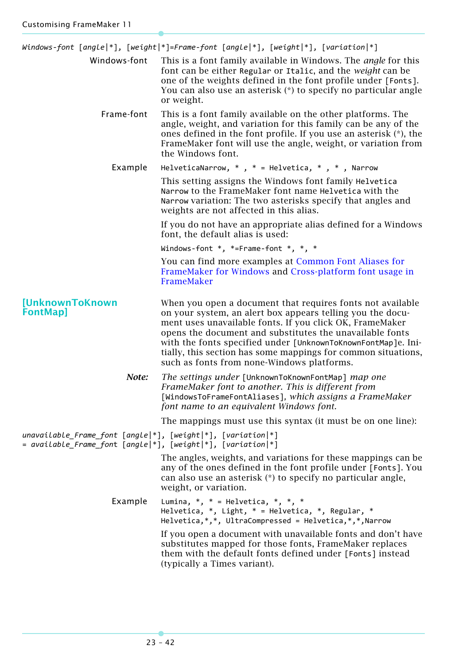<span id="page-41-0"></span>

|                                                                                                                               | Windows-font [angle *], [weight *]=Frame-font [angle *], [weight *], [variation *]                                                                                                                                                                                                                                                                                                                                               |  |
|-------------------------------------------------------------------------------------------------------------------------------|----------------------------------------------------------------------------------------------------------------------------------------------------------------------------------------------------------------------------------------------------------------------------------------------------------------------------------------------------------------------------------------------------------------------------------|--|
| Windows-font                                                                                                                  | This is a font family available in Windows. The <i>angle</i> for this<br>font can be either Regular or Italic, and the weight can be<br>one of the weights defined in the font profile under [Fonts].<br>You can also use an asterisk (*) to specify no particular angle<br>or weight.                                                                                                                                           |  |
| Frame-font                                                                                                                    | This is a font family available on the other platforms. The<br>angle, weight, and variation for this family can be any of the<br>ones defined in the font profile. If you use an asterisk (*), the<br>FrameMaker font will use the angle, weight, or variation from<br>the Windows font.                                                                                                                                         |  |
| Example                                                                                                                       | HelveticaNarrow, $*$ , $*$ = Helvetica, $*$ , $*$ , Narrow                                                                                                                                                                                                                                                                                                                                                                       |  |
|                                                                                                                               | This setting assigns the Windows font family Helvetica<br>Narrow to the FrameMaker font name Helvetica with the<br>Narrow variation: The two asterisks specify that angles and<br>weights are not affected in this alias.                                                                                                                                                                                                        |  |
|                                                                                                                               | If you do not have an appropriate alias defined for a Windows<br>font, the default alias is used:                                                                                                                                                                                                                                                                                                                                |  |
|                                                                                                                               | Windows-font $*$ , $*$ =Frame-font $*$ , $*$ , $*$                                                                                                                                                                                                                                                                                                                                                                               |  |
|                                                                                                                               | You can find more examples at Common Font Aliases for<br>FrameMaker for Windows and Cross-platform font usage in<br>FrameMaker                                                                                                                                                                                                                                                                                                   |  |
| [UnknownToKnown<br><b>FontMap]</b>                                                                                            | When you open a document that requires fonts not available<br>on your system, an alert box appears telling you the docu-<br>ment uses unavailable fonts. If you click OK, FrameMaker<br>opens the document and substitutes the unavailable fonts<br>with the fonts specified under [UnknownToKnownFontMap]e. Ini-<br>tially, this section has some mappings for common situations,<br>such as fonts from none-Windows platforms. |  |
| Note:                                                                                                                         | The settings under [UnknownToKnownFontMap] map one<br>FrameMaker font to another. This is different from<br>[WindowsToFrameFontAliases], which assigns a FrameMaker<br>font name to an equivalent Windows font.                                                                                                                                                                                                                  |  |
|                                                                                                                               | The mappings must use this syntax (it must be on one line):                                                                                                                                                                                                                                                                                                                                                                      |  |
| $unavailable_F$ rame_font [angle]*], [weight]*], [variation]*]<br>= available_Frame_font [angle *], [weight *], [variation *] |                                                                                                                                                                                                                                                                                                                                                                                                                                  |  |
|                                                                                                                               | The angles, weights, and variations for these mappings can be.<br>any of the ones defined in the font profile under [Fonts]. You<br>can also use an asterisk (*) to specify no particular angle,<br>weight, or variation.                                                                                                                                                                                                        |  |
| Example                                                                                                                       | Lumina, $*$ , $*$ = Helvetica, $*$ , $*$ , $*$<br>Helvetica, $*$ , Light, $*$ = Helvetica, $*$ , Regular, $*$<br>Helvetica, *, *, UltraCompressed = Helvetica, *, *, Narrow                                                                                                                                                                                                                                                      |  |
|                                                                                                                               | If you open a document with unavailable fonts and don't have<br>substitutes mapped for those fonts, FrameMaker replaces<br>them with the default fonts defined under [Fonts] instead<br>(typically a Times variant).                                                                                                                                                                                                             |  |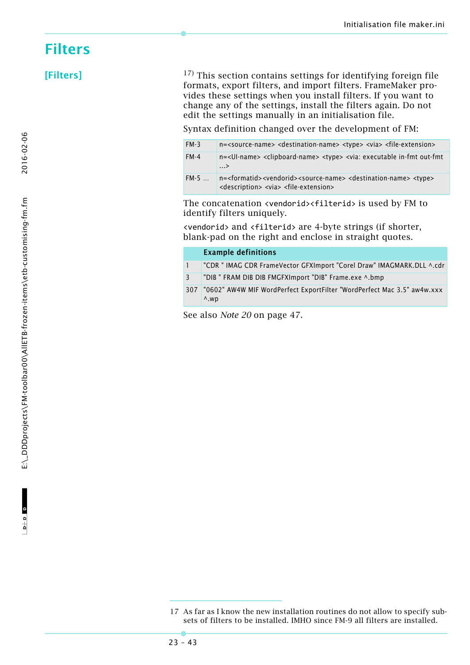## <span id="page-42-0"></span>**Filters**

<span id="page-42-1"></span>**[Filters]** 17) This section contains settings for identifying foreign file formats, export filters, and import filters. FrameMaker provides these settings when you install filters. If you want to change any of the settings, install the filters again. Do not edit the settings manually in an initialisation file.

Syntax definition changed over the development of FM:

| $FM-3$ | $n =$ <source-name> <destination-name> <type> <via> <file-extension></file-extension></via></type></destination-name></source-name>                                                                        |
|--------|------------------------------------------------------------------------------------------------------------------------------------------------------------------------------------------------------------|
| $FM-4$ | n= <ui-name> <clipboard-name> <type> <via: executable="" in-fmt="" out-fmt<br=""><math>\ldots</math>&gt;</via:></type></clipboard-name></ui-name>                                                          |
| FM-5   | n= <formatid><vendorid><source-name> <destination-name> <type><br/><description> <via> <file-extension></file-extension></via></description></type></destination-name></source-name></vendorid></formatid> |

The concatenation <vendorid><filterid> is used by FM to identify filters uniquely.

<vendorid> and <filterid> are 4-byte strings (if shorter, blank-pad on the right and enclose in straight quotes.

|              | <b>Example definitions</b>                                                              |
|--------------|-----------------------------------------------------------------------------------------|
|              | "CDR " IMAG CDR FrameVector GFXImport "Corel Draw" IMAGMARK.DLL ^.cdr                   |
| $\mathbf{R}$ | "DIB" FRAM DIB DIB FMGFXImport "DIB" Frame.exe ^.bmp                                    |
| 307          | "0602" AW4W MIF WordPerfect ExportFilter "WordPerfect Mac 3.5" aw4w.xxx<br>$\wedge$ .wp |

See also *Note 20* [on page 47.](#page-46-2)

2016-02-06

<sup>17</sup> As far as I know the new installation routines do not allow to specify subsets of filters to be installed. IMHO since FM-9 all filters are installed.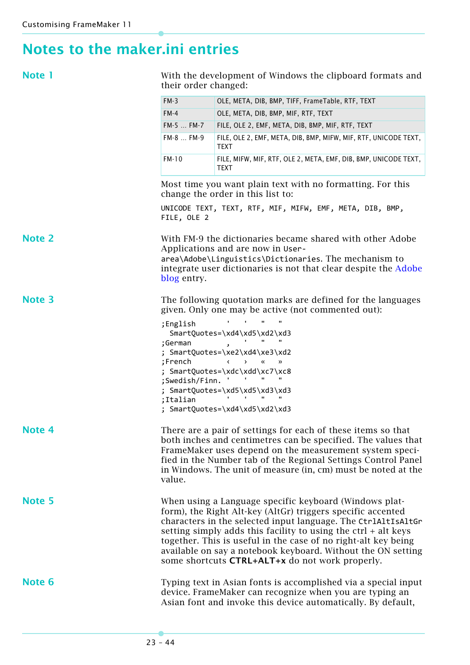# <span id="page-43-0"></span>**Notes to the maker.ini entries**

<span id="page-43-1"></span>

| ٠ | ____ |  |
|---|------|--|
|   |      |  |

With the development of Windows the clipboard formats and their order changed:

<span id="page-43-6"></span><span id="page-43-5"></span><span id="page-43-4"></span><span id="page-43-3"></span><span id="page-43-2"></span>

|               | $FM-3$                                                                                                                                                                                                                                                                                                                                                                                                                                          | OLE, META, DIB, BMP, TIFF, FrameTable, RTF, TEXT                                                                                                                                          |  |
|---------------|-------------------------------------------------------------------------------------------------------------------------------------------------------------------------------------------------------------------------------------------------------------------------------------------------------------------------------------------------------------------------------------------------------------------------------------------------|-------------------------------------------------------------------------------------------------------------------------------------------------------------------------------------------|--|
|               | $FM-4$                                                                                                                                                                                                                                                                                                                                                                                                                                          | OLE, META, DIB, BMP, MIF, RTF, TEXT                                                                                                                                                       |  |
|               | FM-5  FM-7                                                                                                                                                                                                                                                                                                                                                                                                                                      | FILE, OLE 2, EMF, META, DIB, BMP, MIF, RTF, TEXT                                                                                                                                          |  |
|               | FM-8  FM-9                                                                                                                                                                                                                                                                                                                                                                                                                                      | FILE, OLE 2, EMF, META, DIB, BMP, MIFW, MIF, RTF, UNICODE TEXT,<br>TEXT                                                                                                                   |  |
|               | FM-10                                                                                                                                                                                                                                                                                                                                                                                                                                           | FILE, MIFW, MIF, RTF, OLE 2, META, EMF, DIB, BMP, UNICODE TEXT,<br><b>TEXT</b>                                                                                                            |  |
|               | Most time you want plain text with no formatting. For this<br>change the order in this list to:                                                                                                                                                                                                                                                                                                                                                 |                                                                                                                                                                                           |  |
|               | FILE, OLE 2                                                                                                                                                                                                                                                                                                                                                                                                                                     | UNICODE TEXT, TEXT, RTF, MIF, MIFW, EMF, META, DIB, BMP,                                                                                                                                  |  |
| <b>Note 2</b> | With FM-9 the dictionaries became shared with other Adobe<br>Applications and are now in User-<br>area\Adobe\Linguistics\Dictionaries. The mechanism to<br>integrate user dictionaries is not that clear despite the Adobe<br>blog entry.                                                                                                                                                                                                       |                                                                                                                                                                                           |  |
| <b>Note 3</b> |                                                                                                                                                                                                                                                                                                                                                                                                                                                 | The following quotation marks are defined for the languages<br>given. Only one may be active (not commented out):                                                                         |  |
|               | ;English                                                                                                                                                                                                                                                                                                                                                                                                                                        |                                                                                                                                                                                           |  |
|               | SmartQuotes=\xd4\xd5\xd2\xd3<br>$\mathbf{r}$                                                                                                                                                                                                                                                                                                                                                                                                    |                                                                                                                                                                                           |  |
|               | ;German<br>SmartQuotes=\xe2\xd4\xe3\xd2                                                                                                                                                                                                                                                                                                                                                                                                         |                                                                                                                                                                                           |  |
|               | ;French<br>$\longleftrightarrow$<br>$\alpha$<br>$\rightarrow$                                                                                                                                                                                                                                                                                                                                                                                   |                                                                                                                                                                                           |  |
|               | SmartQuotes=\xdc\xdd\xc7\xc8                                                                                                                                                                                                                                                                                                                                                                                                                    |                                                                                                                                                                                           |  |
|               | ;Swedish/Finn.<br>; SmartQuotes=\xd5\xd5\xd3\xd3                                                                                                                                                                                                                                                                                                                                                                                                |                                                                                                                                                                                           |  |
|               | ;Italian                                                                                                                                                                                                                                                                                                                                                                                                                                        |                                                                                                                                                                                           |  |
|               |                                                                                                                                                                                                                                                                                                                                                                                                                                                 | ; SmartQuotes=\xd4\xd5\xd2\xd3                                                                                                                                                            |  |
| Note 4        | There are a pair of settings for each of these items so that<br>both inches and centimetres can be specified. The values that<br>FrameMaker uses depend on the measurement system speci-<br>fied in the Number tab of the Regional Settings Control Panel<br>in Windows. The unit of measure (in, cm) must be noted at the<br>value.                                                                                                            |                                                                                                                                                                                           |  |
| <b>Note 5</b> | When using a Language specific keyboard (Windows plat-<br>form), the Right Alt-key (AltGr) triggers specific accented<br>characters in the selected input language. The CtrlAltIsAltGr<br>setting simply adds this facility to using the $ctrl + alt$ keys<br>together. This is useful in the case of no right-alt key being<br>available on say a notebook keyboard. Without the ON setting<br>some shortcuts CTRL+ALT+x do not work properly. |                                                                                                                                                                                           |  |
| Note 6        |                                                                                                                                                                                                                                                                                                                                                                                                                                                 | Typing text in Asian fonts is accomplished via a special input<br>device. FrameMaker can recognize when you are typing an<br>Asian font and invoke this device automatically. By default, |  |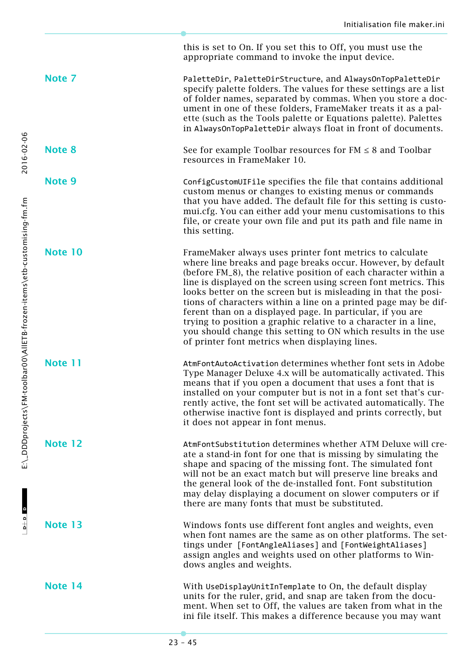this is set to On. If you set this to Off, you must use the

<span id="page-44-2"></span>appropriate command to invoke the input device. **Note 7** PaletteDir, PaletteDirStructure, and AlwaysOnTopPaletteDir specify palette folders. The values for these settings are a list of folder names, separated by commas. When you store a document in one of these folders, FrameMaker treats it as a palette (such as the Tools palette or Equations palette). Palettes in AlwaysOnTopPaletteDir always float in front of documents. **Note 8** See for example Toolbar resources for FM ≤ 8 and Toolbar resources in FrameMaker 10. **Note 9** ConfigCustomUIFile specifies the file that contains additional custom menus or changes to existing menus or commands that you have added. The default file for this setting is customui.cfg. You can either add your menu customisations to this file, or create your own file and put its path and file name in this setting. **Note 10** FrameMaker always uses printer font metrics to calculate where line breaks and page breaks occur. However, by default (before FM\_8), the relative position of each character within a line is displayed on the screen using screen font metrics. This looks better on the screen but is misleading in that the positions of characters within a line on a printed page may be different than on a displayed page. In particular, if you are trying to position a graphic relative to a character in a line, you should change this setting to ON which results in the use of printer font metrics when displaying lines. **Note 11** AtmFontAutoActivation determines whether font sets in Adobe Type Manager Deluxe 4.x will be automatically activated. This means that if you open a document that uses a font that is installed on your computer but is not in a font set that's currently active, the font set will be activated automatically. The otherwise inactive font is displayed and prints correctly, but it does not appear in font menus. **Note 12** AtmFontSubstitution determines whether ATM Deluxe will create a stand-in font for one that is missing by simulating the shape and spacing of the missing font. The simulated font will not be an exact match but will preserve line breaks and the general look of the de-installed font. Font substitution may delay displaying a document on slower computers or if there are many fonts that must be substituted. **Note 13** Windows fonts use different font angles and weights, even when font names are the same as on other platforms. The settings under [FontAngleAliases] and [FontWeightAliases] assign angles and weights used on other platforms to Windows angles and weights. **Note 14** With UseDisplayUnitInTemplate to On, the default display units for the ruler, grid, and snap are taken from the document. When set to Off, the values are taken from what in the ini file itself. This makes a difference because you may want

<span id="page-44-7"></span><span id="page-44-6"></span><span id="page-44-5"></span><span id="page-44-4"></span><span id="page-44-3"></span><span id="page-44-1"></span><span id="page-44-0"></span>2016-02-06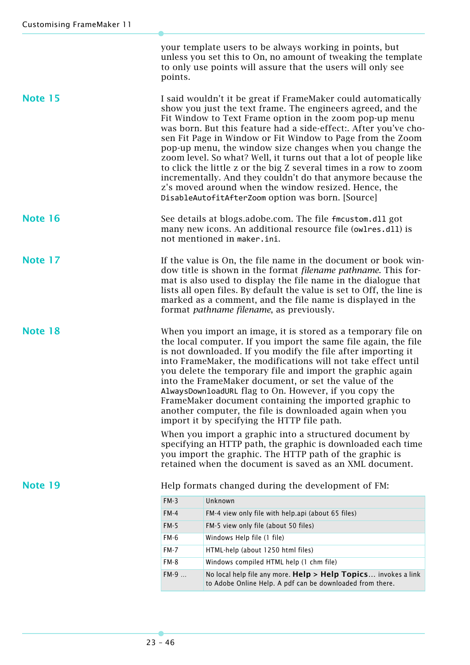your template users to be always working in points, but unless you set this to On, no amount of tweaking the template to only use points will assure that the users will only see points.

<span id="page-45-1"></span>**Note 15** I said wouldn't it be great if FrameMaker could automatically show you just the text frame. The engineers agreed, and the Fit Window to Text Frame option in the zoom pop-up menu was born. But this feature had a side-effect:. After you've chosen Fit Page in Window or Fit Window to Page from the Zoom pop-up menu, the window size changes when you change the zoom level. So what? Well, it turns out that a lot of people like to click the little z or the big Z several times in a row to zoom incrementally. And they couldn't do that anymore because the z's moved around when the window resized. Hence, the DisableAutofitAfterZoom option was born. [Source]

- <span id="page-45-4"></span>**Note 16** See details at blogs.adobe.com. The file fmcustom.dll got many new icons. An additional resource file (owlres.dll) is not mentioned in maker.ini.
- <span id="page-45-2"></span>**Note 17** If the value is On, the file name in the document or book window title is shown in the format *filename pathname*. This format is also used to display the file name in the dialogue that lists all open files. By default the value is set to Off, the line is marked as a comment, and the file name is displayed in the format *pathname filename*, as previously.

<span id="page-45-0"></span>**Note 18** When you import an image, it is stored as a temporary file on the local computer. If you import the same file again, the file is not downloaded. If you modify the file after importing it into FrameMaker, the modifications will not take effect until you delete the temporary file and import the graphic again into the FrameMaker document, or set the value of the AlwaysDownloadURL flag to On. However, if you copy the FrameMaker document containing the imported graphic to another computer, the file is downloaded again when you import it by specifying the HTTP file path.

> When you import a graphic into a structured document by specifying an HTTP path, the graphic is downloaded each time you import the graphic. The HTTP path of the graphic is retained when the document is saved as an XML document.

<span id="page-45-3"></span>**Note 19** Help formats changed during the development of FM:

| $FM-3$      | Unknown                                                                                                                     |
|-------------|-----------------------------------------------------------------------------------------------------------------------------|
| $FM-4$      | FM-4 view only file with help.api (about 65 files)                                                                          |
| FM-5        | FM-5 view only file (about 50 files)                                                                                        |
| <b>FM-6</b> | Windows Help file (1 file)                                                                                                  |
| $FM-7$      | HTML-help (about 1250 html files)                                                                                           |
| FM-8        | Windows compiled HTML help (1 chm file)                                                                                     |
| $FM-9$      | No local help file any more. Help > Help Topics invokes a link<br>to Adobe Online Help. A pdf can be downloaded from there. |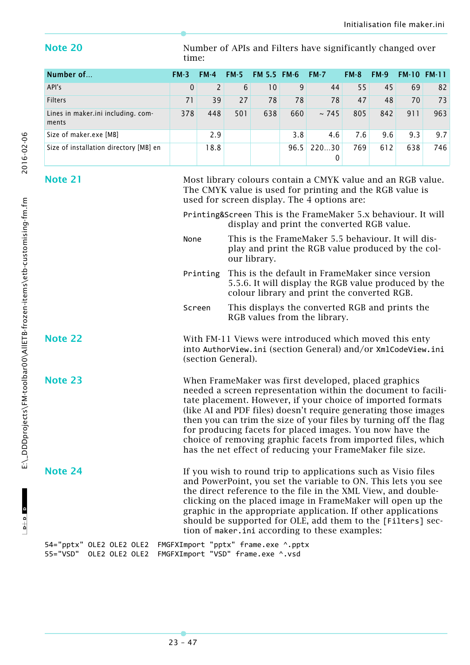<span id="page-46-2"></span>**Note 20** Number of APIs and Filters have significantly changed over time:

| Number of                                   | $FM-3$       | $FM-4$ | $FM-5$ | <b>FM 5.5 FM 6</b> |      | $FM-7$     | $FM-8$ | $FM-9$ | <b>FM-10</b> | <b>FM-11</b> |
|---------------------------------------------|--------------|--------|--------|--------------------|------|------------|--------|--------|--------------|--------------|
| API's                                       | $\mathbf{0}$ | 2      | 6      | 10                 | 9    | 44         | 55     | 45     | 69           | 82           |
| <b>Filters</b>                              | 71           | 39     | 27     | 78                 | 78   | 78         | 47     | 48     | 70           | 73           |
| Lines in maker.ini including. com-<br>ments | 378          | 448    | 501    | 638                | 660  | ~2745      | 805    | 842    | 911          | 963          |
| Size of maker.exe [MB]                      |              | 2.9    |        |                    | 3.8  | 4.6        | 7.6    | 9.6    | 9.3          | 9.7          |
| Size of installation directory [MB] en      |              | 18.8   |        |                    | 96.5 | 22030<br>0 | 769    | 612    | 638          | 746          |

<span id="page-46-1"></span>**Note 21** Most library colours contain a CMYK value and an RGB value. The CMYK value is used for printing and the RGB value is used for screen display. The 4 options are:

> Printing&Screen This is the FrameMaker 5.x behaviour. It will display and print the converted RGB value.

- None This is the FrameMaker 5.5 behaviour. It will display and print the RGB value produced by the colour library.
- Printing This is the default in FrameMaker since version 5.5.6. It will display the RGB value produced by the colour library and print the converted RGB.
- Screen This displays the converted RGB and prints the RGB values from the library.

**Note 22** With FM-11 Views were introduced which moved this enty into AuthorView.ini (section General) and/or XmlCodeView.ini (section General).

**Note 23** When FrameMaker was first developed, placed graphics needed a screen representation within the document to facilitate placement. However, if your choice of imported formats (like AI and PDF files) doesn't require generating those images then you can trim the size of your files by turning off the flag for producing facets for placed images. You now have the choice of removing graphic facets from imported files, which has the net effect of reducing your FrameMaker file size.

<span id="page-46-0"></span>**Note 24** If you wish to round trip to applications such as Visio files and PowerPoint, you set the variable to ON. This lets you see the direct reference to the file in the XML View, and doubleclicking on the placed image in FrameMaker will open up the graphic in the appropriate application. If other applications should be supported for OLE, add them to the [Filters] section of maker.ini according to these examples:

54="pptx" OLE2 OLE2 OLE2 FMGFXImport "pptx" frame.exe ^.pptx 55="VSD" OLE2 OLE2 OLE2 FMGFXImport "VSD" frame.exe ^.vsd

 $D + D$  D

 $-1$